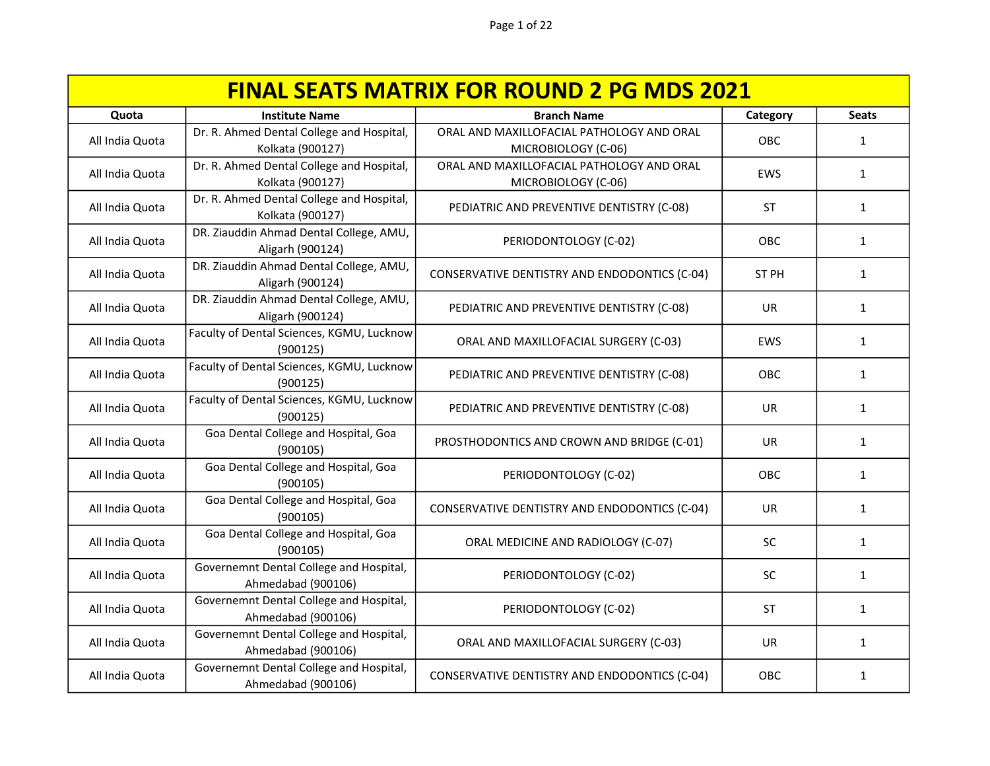| <b>FINAL SEATS MATRIX FOR ROUND 2 PG MDS 2021</b> |                                                               |                                                                  |            |              |
|---------------------------------------------------|---------------------------------------------------------------|------------------------------------------------------------------|------------|--------------|
| Quota                                             | <b>Institute Name</b>                                         | <b>Branch Name</b>                                               | Category   | <b>Seats</b> |
| All India Quota                                   | Dr. R. Ahmed Dental College and Hospital,<br>Kolkata (900127) | ORAL AND MAXILLOFACIAL PATHOLOGY AND ORAL<br>MICROBIOLOGY (C-06) | OBC        | $\mathbf{1}$ |
| All India Quota                                   | Dr. R. Ahmed Dental College and Hospital,<br>Kolkata (900127) | ORAL AND MAXILLOFACIAL PATHOLOGY AND ORAL<br>MICROBIOLOGY (C-06) | EWS        | $\mathbf{1}$ |
| All India Quota                                   | Dr. R. Ahmed Dental College and Hospital,<br>Kolkata (900127) | PEDIATRIC AND PREVENTIVE DENTISTRY (C-08)                        | <b>ST</b>  | $\mathbf{1}$ |
| All India Quota                                   | DR. Ziauddin Ahmad Dental College, AMU,<br>Aligarh (900124)   | PERIODONTOLOGY (C-02)                                            | OBC        | $\mathbf{1}$ |
| All India Quota                                   | DR. Ziauddin Ahmad Dental College, AMU,<br>Aligarh (900124)   | CONSERVATIVE DENTISTRY AND ENDODONTICS (C-04)                    | ST PH      | 1            |
| All India Quota                                   | DR. Ziauddin Ahmad Dental College, AMU,<br>Aligarh (900124)   | PEDIATRIC AND PREVENTIVE DENTISTRY (C-08)                        | <b>UR</b>  | $\mathbf{1}$ |
| All India Quota                                   | Faculty of Dental Sciences, KGMU, Lucknow<br>(900125)         | ORAL AND MAXILLOFACIAL SURGERY (C-03)                            | <b>EWS</b> | $\mathbf{1}$ |
| All India Quota                                   | Faculty of Dental Sciences, KGMU, Lucknow<br>(900125)         | PEDIATRIC AND PREVENTIVE DENTISTRY (C-08)                        | OBC        | 1            |
| All India Quota                                   | Faculty of Dental Sciences, KGMU, Lucknow<br>(900125)         | PEDIATRIC AND PREVENTIVE DENTISTRY (C-08)                        | <b>UR</b>  | 1            |
| All India Quota                                   | Goa Dental College and Hospital, Goa<br>(900105)              | PROSTHODONTICS AND CROWN AND BRIDGE (C-01)                       | <b>UR</b>  | $\mathbf{1}$ |
| All India Quota                                   | Goa Dental College and Hospital, Goa<br>(900105)              | PERIODONTOLOGY (C-02)                                            | <b>OBC</b> | 1            |
| All India Quota                                   | Goa Dental College and Hospital, Goa<br>(900105)              | CONSERVATIVE DENTISTRY AND ENDODONTICS (C-04)                    | UR         | 1            |
| All India Quota                                   | Goa Dental College and Hospital, Goa<br>(900105)              | ORAL MEDICINE AND RADIOLOGY (C-07)                               | <b>SC</b>  | 1            |
| All India Quota                                   | Governemnt Dental College and Hospital,<br>Ahmedabad (900106) | PERIODONTOLOGY (C-02)                                            | <b>SC</b>  | 1            |
| All India Quota                                   | Governemnt Dental College and Hospital,<br>Ahmedabad (900106) | PERIODONTOLOGY (C-02)                                            | <b>ST</b>  | 1            |
| All India Quota                                   | Governemnt Dental College and Hospital,<br>Ahmedabad (900106) | ORAL AND MAXILLOFACIAL SURGERY (C-03)                            | <b>UR</b>  | 1            |
| All India Quota                                   | Governemnt Dental College and Hospital,<br>Ahmedabad (900106) | CONSERVATIVE DENTISTRY AND ENDODONTICS (C-04)                    | OBC        | 1            |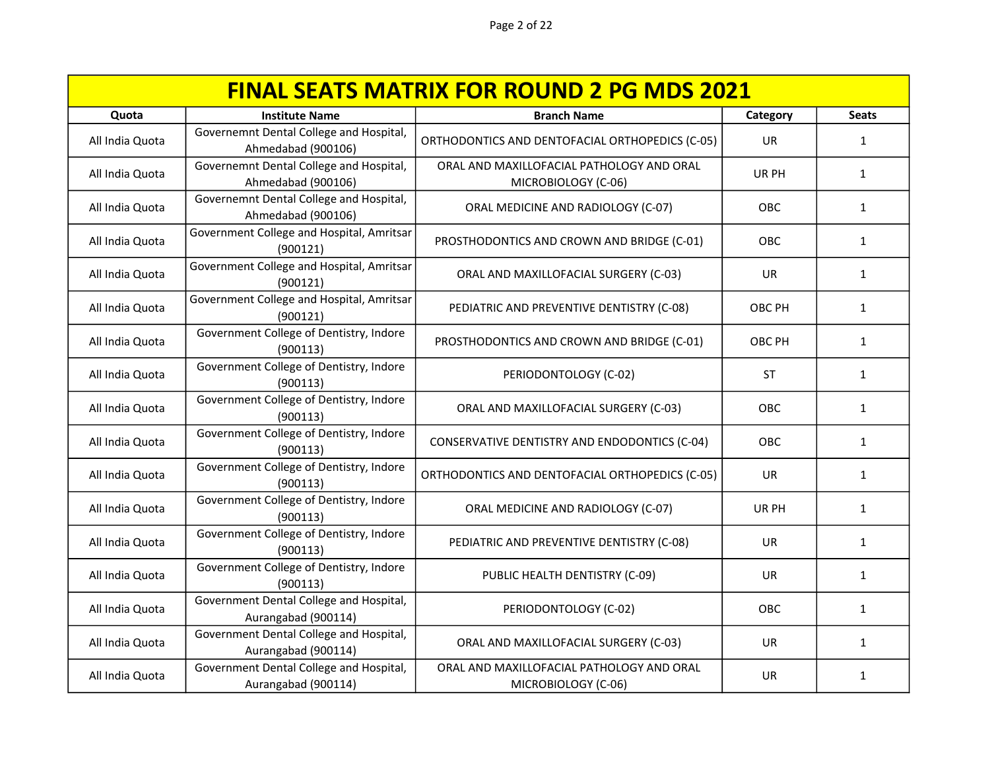| <b>FINAL SEATS MATRIX FOR ROUND 2 PG MDS 2021</b> |                                                                |                                                                  |            |              |
|---------------------------------------------------|----------------------------------------------------------------|------------------------------------------------------------------|------------|--------------|
| Quota                                             | <b>Institute Name</b>                                          | <b>Branch Name</b>                                               | Category   | <b>Seats</b> |
| All India Quota                                   | Governemnt Dental College and Hospital,<br>Ahmedabad (900106)  | ORTHODONTICS AND DENTOFACIAL ORTHOPEDICS (C-05)                  | <b>UR</b>  | $\mathbf{1}$ |
| All India Quota                                   | Governemnt Dental College and Hospital,<br>Ahmedabad (900106)  | ORAL AND MAXILLOFACIAL PATHOLOGY AND ORAL<br>MICROBIOLOGY (C-06) | UR PH      | $\mathbf{1}$ |
| All India Quota                                   | Governemnt Dental College and Hospital,<br>Ahmedabad (900106)  | ORAL MEDICINE AND RADIOLOGY (C-07)                               | OBC        | $\mathbf{1}$ |
| All India Quota                                   | Government College and Hospital, Amritsar<br>(900121)          | PROSTHODONTICS AND CROWN AND BRIDGE (C-01)                       | OBC        | $\mathbf{1}$ |
| All India Quota                                   | Government College and Hospital, Amritsar<br>(900121)          | ORAL AND MAXILLOFACIAL SURGERY (C-03)                            | <b>UR</b>  | 1            |
| All India Quota                                   | Government College and Hospital, Amritsar<br>(900121)          | PEDIATRIC AND PREVENTIVE DENTISTRY (C-08)                        | OBC PH     | $\mathbf{1}$ |
| All India Quota                                   | Government College of Dentistry, Indore<br>(900113)            | PROSTHODONTICS AND CROWN AND BRIDGE (C-01)                       | OBC PH     | $\mathbf{1}$ |
| All India Quota                                   | Government College of Dentistry, Indore<br>(900113)            | PERIODONTOLOGY (C-02)                                            | <b>ST</b>  | $\mathbf{1}$ |
| All India Quota                                   | Government College of Dentistry, Indore<br>(900113)            | ORAL AND MAXILLOFACIAL SURGERY (C-03)                            | OBC        | 1            |
| All India Quota                                   | Government College of Dentistry, Indore<br>(900113)            | CONSERVATIVE DENTISTRY AND ENDODONTICS (C-04)                    | OBC        | $\mathbf{1}$ |
| All India Quota                                   | Government College of Dentistry, Indore<br>(900113)            | ORTHODONTICS AND DENTOFACIAL ORTHOPEDICS (C-05)                  | UR         | $\mathbf{1}$ |
| All India Quota                                   | Government College of Dentistry, Indore<br>(900113)            | ORAL MEDICINE AND RADIOLOGY (C-07)                               | UR PH      | 1            |
| All India Quota                                   | Government College of Dentistry, Indore<br>(900113)            | PEDIATRIC AND PREVENTIVE DENTISTRY (C-08)                        | <b>UR</b>  | 1            |
| All India Quota                                   | Government College of Dentistry, Indore<br>(900113)            | PUBLIC HEALTH DENTISTRY (C-09)                                   | <b>UR</b>  | 1            |
| All India Quota                                   | Government Dental College and Hospital,<br>Aurangabad (900114) | PERIODONTOLOGY (C-02)                                            | <b>OBC</b> | $\mathbf{1}$ |
| All India Quota                                   | Government Dental College and Hospital,<br>Aurangabad (900114) | ORAL AND MAXILLOFACIAL SURGERY (C-03)                            | <b>UR</b>  | 1            |
| All India Quota                                   | Government Dental College and Hospital,<br>Aurangabad (900114) | ORAL AND MAXILLOFACIAL PATHOLOGY AND ORAL<br>MICROBIOLOGY (C-06) | UR         | 1            |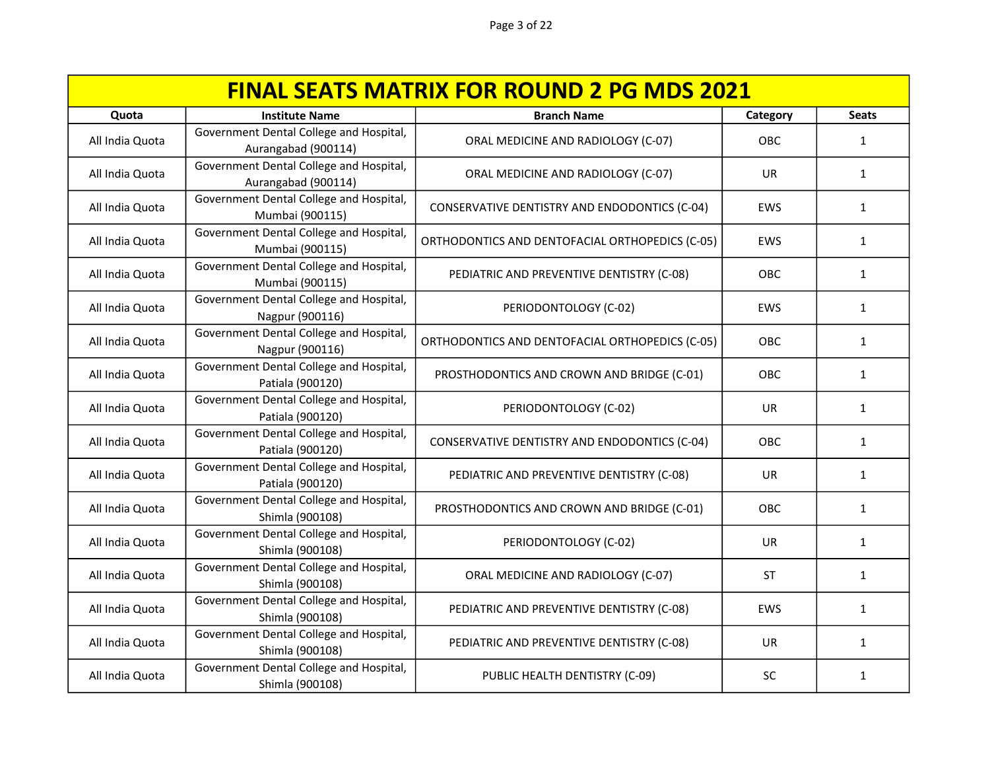| <b>FINAL SEATS MATRIX FOR ROUND 2 PG MDS 2021</b> |                                                                |                                                 |            |              |
|---------------------------------------------------|----------------------------------------------------------------|-------------------------------------------------|------------|--------------|
| Quota                                             | <b>Institute Name</b>                                          | <b>Branch Name</b>                              | Category   | <b>Seats</b> |
| All India Quota                                   | Government Dental College and Hospital,<br>Aurangabad (900114) | ORAL MEDICINE AND RADIOLOGY (C-07)              | OBC        | $\mathbf{1}$ |
| All India Quota                                   | Government Dental College and Hospital,<br>Aurangabad (900114) | ORAL MEDICINE AND RADIOLOGY (C-07)              | <b>UR</b>  | 1            |
| All India Quota                                   | Government Dental College and Hospital,<br>Mumbai (900115)     | CONSERVATIVE DENTISTRY AND ENDODONTICS (C-04)   | <b>EWS</b> | 1            |
| All India Quota                                   | Government Dental College and Hospital,<br>Mumbai (900115)     | ORTHODONTICS AND DENTOFACIAL ORTHOPEDICS (C-05) | EWS        | $\mathbf{1}$ |
| All India Quota                                   | Government Dental College and Hospital,<br>Mumbai (900115)     | PEDIATRIC AND PREVENTIVE DENTISTRY (C-08)       | OBC        | $\mathbf{1}$ |
| All India Quota                                   | Government Dental College and Hospital,<br>Nagpur (900116)     | PERIODONTOLOGY (C-02)                           | EWS        | $\mathbf{1}$ |
| All India Quota                                   | Government Dental College and Hospital,<br>Nagpur (900116)     | ORTHODONTICS AND DENTOFACIAL ORTHOPEDICS (C-05) | OBC        | $\mathbf{1}$ |
| All India Quota                                   | Government Dental College and Hospital,<br>Patiala (900120)    | PROSTHODONTICS AND CROWN AND BRIDGE (C-01)      | OBC        | $\mathbf{1}$ |
| All India Quota                                   | Government Dental College and Hospital,<br>Patiala (900120)    | PERIODONTOLOGY (C-02)                           | <b>UR</b>  | $\mathbf{1}$ |
| All India Quota                                   | Government Dental College and Hospital,<br>Patiala (900120)    | CONSERVATIVE DENTISTRY AND ENDODONTICS (C-04)   | OBC        | $\mathbf{1}$ |
| All India Quota                                   | Government Dental College and Hospital,<br>Patiala (900120)    | PEDIATRIC AND PREVENTIVE DENTISTRY (C-08)       | <b>UR</b>  | $\mathbf{1}$ |
| All India Quota                                   | Government Dental College and Hospital,<br>Shimla (900108)     | PROSTHODONTICS AND CROWN AND BRIDGE (C-01)      | OBC        | $\mathbf{1}$ |
| All India Quota                                   | Government Dental College and Hospital,<br>Shimla (900108)     | PERIODONTOLOGY (C-02)                           | <b>UR</b>  | 1            |
| All India Quota                                   | Government Dental College and Hospital,<br>Shimla (900108)     | ORAL MEDICINE AND RADIOLOGY (C-07)              | <b>ST</b>  | 1            |
| All India Quota                                   | Government Dental College and Hospital,<br>Shimla (900108)     | PEDIATRIC AND PREVENTIVE DENTISTRY (C-08)       | <b>EWS</b> | 1            |
| All India Quota                                   | Government Dental College and Hospital,<br>Shimla (900108)     | PEDIATRIC AND PREVENTIVE DENTISTRY (C-08)       | <b>UR</b>  | 1            |
| All India Quota                                   | Government Dental College and Hospital,<br>Shimla (900108)     | PUBLIC HEALTH DENTISTRY (C-09)                  | SC         | $\mathbf{1}$ |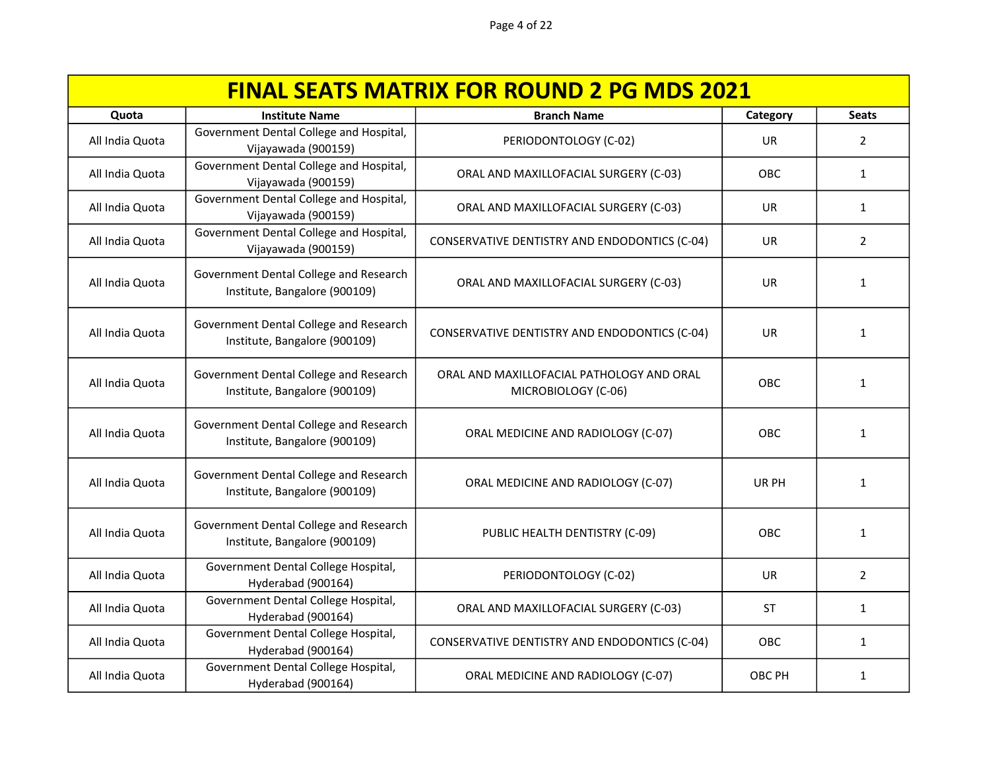| <b>FINAL SEATS MATRIX FOR ROUND 2 PG MDS 2021</b> |                                                                         |                                                                  |            |                |
|---------------------------------------------------|-------------------------------------------------------------------------|------------------------------------------------------------------|------------|----------------|
| Quota                                             | <b>Institute Name</b>                                                   | <b>Branch Name</b>                                               | Category   | <b>Seats</b>   |
| All India Quota                                   | Government Dental College and Hospital,<br>Vijayawada (900159)          | PERIODONTOLOGY (C-02)                                            | <b>UR</b>  | 2              |
| All India Quota                                   | Government Dental College and Hospital,<br>Vijayawada (900159)          | ORAL AND MAXILLOFACIAL SURGERY (C-03)                            | OBC        | $\mathbf{1}$   |
| All India Quota                                   | Government Dental College and Hospital,<br>Vijayawada (900159)          | ORAL AND MAXILLOFACIAL SURGERY (C-03)                            | UR         | 1              |
| All India Quota                                   | Government Dental College and Hospital,<br>Vijayawada (900159)          | CONSERVATIVE DENTISTRY AND ENDODONTICS (C-04)                    | UR.        | $\overline{2}$ |
| All India Quota                                   | Government Dental College and Research<br>Institute, Bangalore (900109) | ORAL AND MAXILLOFACIAL SURGERY (C-03)                            | <b>UR</b>  | 1              |
| All India Quota                                   | Government Dental College and Research<br>Institute, Bangalore (900109) | CONSERVATIVE DENTISTRY AND ENDODONTICS (C-04)                    | <b>UR</b>  | 1              |
| All India Quota                                   | Government Dental College and Research<br>Institute, Bangalore (900109) | ORAL AND MAXILLOFACIAL PATHOLOGY AND ORAL<br>MICROBIOLOGY (C-06) | <b>OBC</b> | $\mathbf{1}$   |
| All India Quota                                   | Government Dental College and Research<br>Institute, Bangalore (900109) | ORAL MEDICINE AND RADIOLOGY (C-07)                               | OBC        | $\mathbf{1}$   |
| All India Quota                                   | Government Dental College and Research<br>Institute, Bangalore (900109) | ORAL MEDICINE AND RADIOLOGY (C-07)                               | UR PH      | 1              |
| All India Quota                                   | Government Dental College and Research<br>Institute, Bangalore (900109) | PUBLIC HEALTH DENTISTRY (C-09)                                   | OBC        | 1              |
| All India Quota                                   | Government Dental College Hospital,<br>Hyderabad (900164)               | PERIODONTOLOGY (C-02)                                            | UR.        | 2              |
| All India Quota                                   | Government Dental College Hospital,<br>Hyderabad (900164)               | ORAL AND MAXILLOFACIAL SURGERY (C-03)                            | <b>ST</b>  | 1              |
| All India Quota                                   | Government Dental College Hospital,<br>Hyderabad (900164)               | CONSERVATIVE DENTISTRY AND ENDODONTICS (C-04)                    | OBC        | 1              |
| All India Quota                                   | Government Dental College Hospital,<br>Hyderabad (900164)               | ORAL MEDICINE AND RADIOLOGY (C-07)                               | OBC PH     | 1              |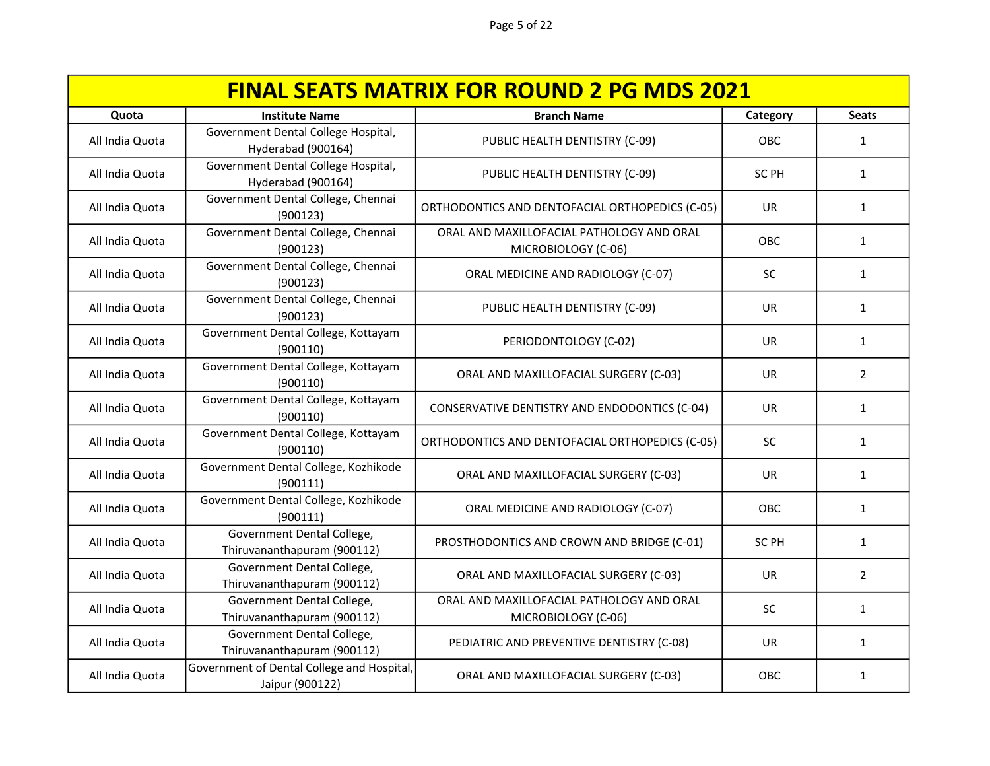| <b>FINAL SEATS MATRIX FOR ROUND 2 PG MDS 2021</b> |                                                               |                                                                  |                  |                |
|---------------------------------------------------|---------------------------------------------------------------|------------------------------------------------------------------|------------------|----------------|
| Quota                                             | <b>Institute Name</b>                                         | <b>Branch Name</b>                                               | Category         | <b>Seats</b>   |
| All India Quota                                   | Government Dental College Hospital,<br>Hyderabad (900164)     | PUBLIC HEALTH DENTISTRY (C-09)                                   | OBC              | $\mathbf{1}$   |
| All India Quota                                   | Government Dental College Hospital,<br>Hyderabad (900164)     | PUBLIC HEALTH DENTISTRY (C-09)                                   | SC PH            | $\mathbf{1}$   |
| All India Quota                                   | Government Dental College, Chennai<br>(900123)                | ORTHODONTICS AND DENTOFACIAL ORTHOPEDICS (C-05)                  | UR               | $\mathbf{1}$   |
| All India Quota                                   | Government Dental College, Chennai<br>(900123)                | ORAL AND MAXILLOFACIAL PATHOLOGY AND ORAL<br>MICROBIOLOGY (C-06) | OBC              | $\mathbf{1}$   |
| All India Quota                                   | Government Dental College, Chennai<br>(900123)                | ORAL MEDICINE AND RADIOLOGY (C-07)                               | SC               | 1              |
| All India Quota                                   | Government Dental College, Chennai<br>(900123)                | PUBLIC HEALTH DENTISTRY (C-09)                                   | <b>UR</b>        | $\mathbf{1}$   |
| All India Quota                                   | Government Dental College, Kottayam<br>(900110)               | PERIODONTOLOGY (C-02)                                            | <b>UR</b>        | $\mathbf{1}$   |
| All India Quota                                   | Government Dental College, Kottayam<br>(900110)               | ORAL AND MAXILLOFACIAL SURGERY (C-03)                            | UR.              | $\overline{2}$ |
| All India Quota                                   | Government Dental College, Kottayam<br>(900110)               | CONSERVATIVE DENTISTRY AND ENDODONTICS (C-04)                    | UR.              | 1              |
| All India Quota                                   | Government Dental College, Kottayam<br>(900110)               | ORTHODONTICS AND DENTOFACIAL ORTHOPEDICS (C-05)                  | SC               | $\mathbf{1}$   |
| All India Quota                                   | Government Dental College, Kozhikode<br>(900111)              | ORAL AND MAXILLOFACIAL SURGERY (C-03)                            | <b>UR</b>        | $\mathbf{1}$   |
| All India Quota                                   | Government Dental College, Kozhikode<br>(900111)              | ORAL MEDICINE AND RADIOLOGY (C-07)                               | OBC              | 1              |
| All India Quota                                   | Government Dental College,<br>Thiruvananthapuram (900112)     | PROSTHODONTICS AND CROWN AND BRIDGE (C-01)                       | SC <sub>PH</sub> | $\mathbf{1}$   |
| All India Quota                                   | Government Dental College,<br>Thiruvananthapuram (900112)     | ORAL AND MAXILLOFACIAL SURGERY (C-03)                            | <b>UR</b>        | $\overline{2}$ |
| All India Quota                                   | Government Dental College,<br>Thiruvananthapuram (900112)     | ORAL AND MAXILLOFACIAL PATHOLOGY AND ORAL<br>MICROBIOLOGY (C-06) | <b>SC</b>        | $\mathbf{1}$   |
| All India Quota                                   | Government Dental College,<br>Thiruvananthapuram (900112)     | PEDIATRIC AND PREVENTIVE DENTISTRY (C-08)                        | <b>UR</b>        | 1              |
| All India Quota                                   | Government of Dental College and Hospital,<br>Jaipur (900122) | ORAL AND MAXILLOFACIAL SURGERY (C-03)                            | OBC              | 1              |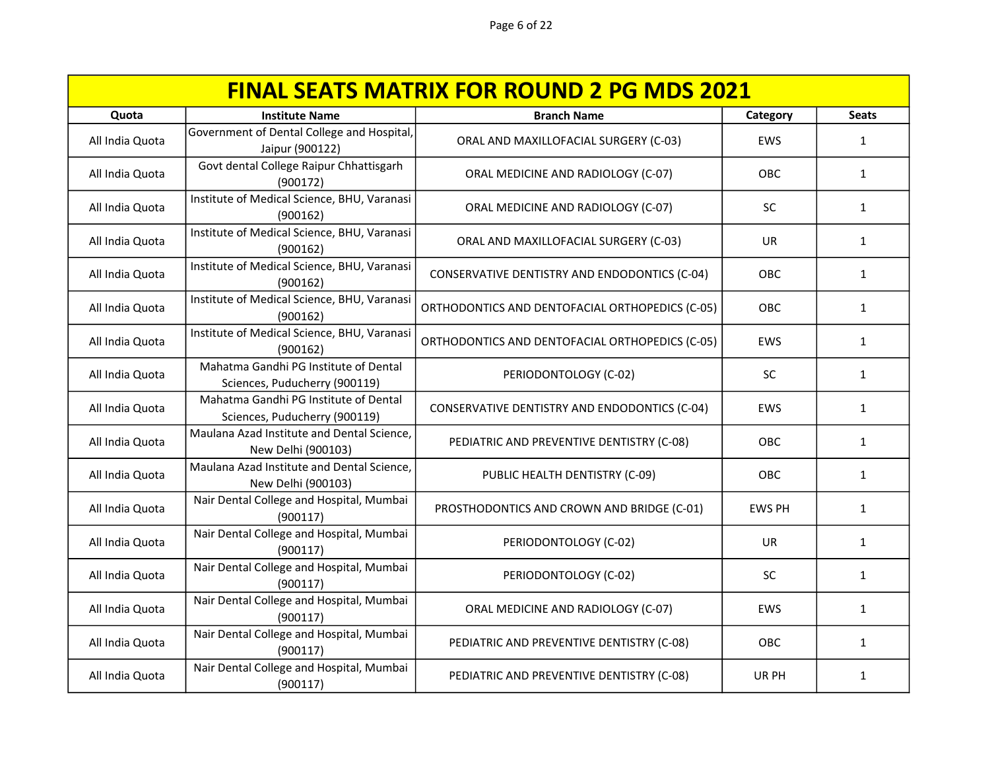| <b>FINAL SEATS MATRIX FOR ROUND 2 PG MDS 2021</b> |                                                                        |                                                 |               |              |
|---------------------------------------------------|------------------------------------------------------------------------|-------------------------------------------------|---------------|--------------|
| Quota                                             | <b>Institute Name</b>                                                  | <b>Branch Name</b>                              | Category      | <b>Seats</b> |
| All India Quota                                   | Government of Dental College and Hospital,<br>Jaipur (900122)          | ORAL AND MAXILLOFACIAL SURGERY (C-03)           | <b>EWS</b>    | $\mathbf{1}$ |
| All India Quota                                   | Govt dental College Raipur Chhattisgarh<br>(900172)                    | ORAL MEDICINE AND RADIOLOGY (C-07)              | OBC           | $\mathbf{1}$ |
| All India Quota                                   | Institute of Medical Science, BHU, Varanasi<br>(900162)                | ORAL MEDICINE AND RADIOLOGY (C-07)              | SC            | $\mathbf{1}$ |
| All India Quota                                   | Institute of Medical Science, BHU, Varanasi<br>(900162)                | ORAL AND MAXILLOFACIAL SURGERY (C-03)           | UR            | 1            |
| All India Quota                                   | Institute of Medical Science, BHU, Varanasi<br>(900162)                | CONSERVATIVE DENTISTRY AND ENDODONTICS (C-04)   | <b>OBC</b>    | 1            |
| All India Quota                                   | Institute of Medical Science, BHU, Varanasi<br>(900162)                | ORTHODONTICS AND DENTOFACIAL ORTHOPEDICS (C-05) | OBC           | $\mathbf{1}$ |
| All India Quota                                   | Institute of Medical Science, BHU, Varanasi<br>(900162)                | ORTHODONTICS AND DENTOFACIAL ORTHOPEDICS (C-05) | <b>EWS</b>    | $\mathbf{1}$ |
| All India Quota                                   | Mahatma Gandhi PG Institute of Dental<br>Sciences, Puducherry (900119) | PERIODONTOLOGY (C-02)                           | <b>SC</b>     | 1            |
| All India Quota                                   | Mahatma Gandhi PG Institute of Dental<br>Sciences, Puducherry (900119) | CONSERVATIVE DENTISTRY AND ENDODONTICS (C-04)   | <b>EWS</b>    | 1            |
| All India Quota                                   | Maulana Azad Institute and Dental Science,<br>New Delhi (900103)       | PEDIATRIC AND PREVENTIVE DENTISTRY (C-08)       | OBC           | $\mathbf{1}$ |
| All India Quota                                   | Maulana Azad Institute and Dental Science,<br>New Delhi (900103)       | PUBLIC HEALTH DENTISTRY (C-09)                  | OBC           | 1            |
| All India Quota                                   | Nair Dental College and Hospital, Mumbai<br>(900117)                   | PROSTHODONTICS AND CROWN AND BRIDGE (C-01)      | <b>EWS PH</b> | 1            |
| All India Quota                                   | Nair Dental College and Hospital, Mumbai<br>(900117)                   | PERIODONTOLOGY (C-02)                           | UR            | 1            |
| All India Quota                                   | Nair Dental College and Hospital, Mumbai<br>(900117)                   | PERIODONTOLOGY (C-02)                           | <b>SC</b>     | 1            |
| All India Quota                                   | Nair Dental College and Hospital, Mumbai<br>(900117)                   | ORAL MEDICINE AND RADIOLOGY (C-07)              | <b>EWS</b>    | 1            |
| All India Quota                                   | Nair Dental College and Hospital, Mumbai<br>(900117)                   | PEDIATRIC AND PREVENTIVE DENTISTRY (C-08)       | OBC           | $\mathbf{1}$ |
| All India Quota                                   | Nair Dental College and Hospital, Mumbai<br>(900117)                   | PEDIATRIC AND PREVENTIVE DENTISTRY (C-08)       | UR PH         | 1            |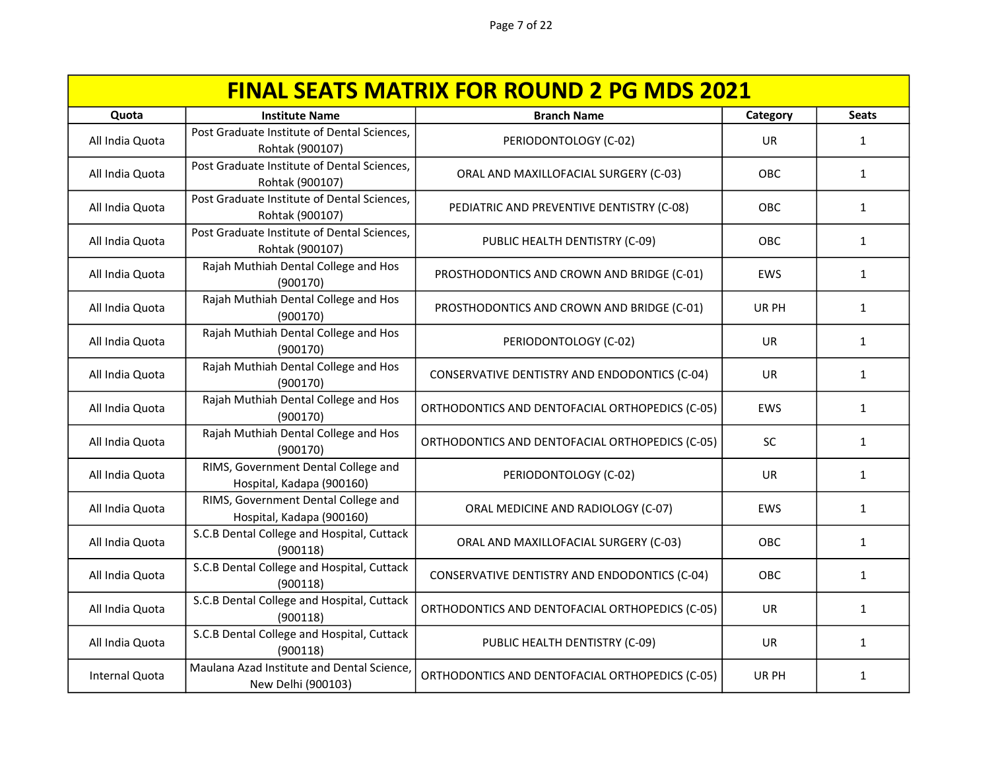| <b>FINAL SEATS MATRIX FOR ROUND 2 PG MDS 2021</b> |                                                                  |                                                 |            |              |
|---------------------------------------------------|------------------------------------------------------------------|-------------------------------------------------|------------|--------------|
| Quota                                             | <b>Institute Name</b>                                            | <b>Branch Name</b>                              | Category   | <b>Seats</b> |
| All India Quota                                   | Post Graduate Institute of Dental Sciences,<br>Rohtak (900107)   | PERIODONTOLOGY (C-02)                           | <b>UR</b>  | 1            |
| All India Quota                                   | Post Graduate Institute of Dental Sciences,<br>Rohtak (900107)   | ORAL AND MAXILLOFACIAL SURGERY (C-03)           | OBC        | $\mathbf{1}$ |
| All India Quota                                   | Post Graduate Institute of Dental Sciences,<br>Rohtak (900107)   | PEDIATRIC AND PREVENTIVE DENTISTRY (C-08)       | OBC        | $\mathbf{1}$ |
| All India Quota                                   | Post Graduate Institute of Dental Sciences,<br>Rohtak (900107)   | PUBLIC HEALTH DENTISTRY (C-09)                  | OBC        | $\mathbf{1}$ |
| All India Quota                                   | Rajah Muthiah Dental College and Hos<br>(900170)                 | PROSTHODONTICS AND CROWN AND BRIDGE (C-01)      | EWS        | $\mathbf{1}$ |
| All India Quota                                   | Rajah Muthiah Dental College and Hos<br>(900170)                 | PROSTHODONTICS AND CROWN AND BRIDGE (C-01)      | UR PH      | $\mathbf{1}$ |
| All India Quota                                   | Rajah Muthiah Dental College and Hos<br>(900170)                 | PERIODONTOLOGY (C-02)                           | <b>UR</b>  | 1            |
| All India Quota                                   | Rajah Muthiah Dental College and Hos<br>(900170)                 | CONSERVATIVE DENTISTRY AND ENDODONTICS (C-04)   | UR         | $\mathbf{1}$ |
| All India Quota                                   | Rajah Muthiah Dental College and Hos<br>(900170)                 | ORTHODONTICS AND DENTOFACIAL ORTHOPEDICS (C-05) | <b>EWS</b> | 1            |
| All India Quota                                   | Rajah Muthiah Dental College and Hos<br>(900170)                 | ORTHODONTICS AND DENTOFACIAL ORTHOPEDICS (C-05) | <b>SC</b>  | $\mathbf{1}$ |
| All India Quota                                   | RIMS, Government Dental College and<br>Hospital, Kadapa (900160) | PERIODONTOLOGY (C-02)                           | <b>UR</b>  | $\mathbf{1}$ |
| All India Quota                                   | RIMS, Government Dental College and<br>Hospital, Kadapa (900160) | ORAL MEDICINE AND RADIOLOGY (C-07)              | EWS        | $\mathbf{1}$ |
| All India Quota                                   | S.C.B Dental College and Hospital, Cuttack<br>(900118)           | ORAL AND MAXILLOFACIAL SURGERY (C-03)           | OBC        | $\mathbf{1}$ |
| All India Quota                                   | S.C.B Dental College and Hospital, Cuttack<br>(900118)           | CONSERVATIVE DENTISTRY AND ENDODONTICS (C-04)   | OBC        | 1            |
| All India Quota                                   | S.C.B Dental College and Hospital, Cuttack<br>(900118)           | ORTHODONTICS AND DENTOFACIAL ORTHOPEDICS (C-05) | <b>UR</b>  | 1            |
| All India Quota                                   | S.C.B Dental College and Hospital, Cuttack<br>(900118)           | PUBLIC HEALTH DENTISTRY (C-09)                  | <b>UR</b>  | 1            |
| Internal Quota                                    | Maulana Azad Institute and Dental Science,<br>New Delhi (900103) | ORTHODONTICS AND DENTOFACIAL ORTHOPEDICS (C-05) | UR PH      | 1            |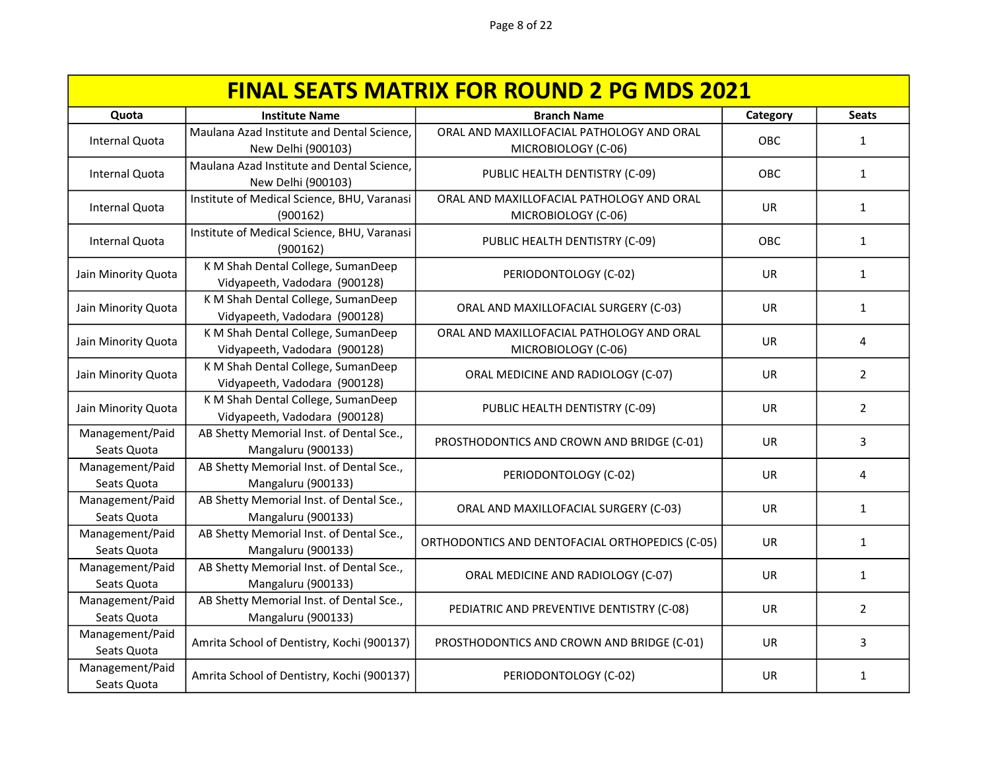| <b>FINAL SEATS MATRIX FOR ROUND 2 PG MDS 2021</b> |                                                                     |                                                                  |           |                |  |
|---------------------------------------------------|---------------------------------------------------------------------|------------------------------------------------------------------|-----------|----------------|--|
| Quota                                             | <b>Institute Name</b>                                               | <b>Branch Name</b>                                               | Category  | <b>Seats</b>   |  |
| Internal Quota                                    | Maulana Azad Institute and Dental Science,<br>New Delhi (900103)    | ORAL AND MAXILLOFACIAL PATHOLOGY AND ORAL<br>MICROBIOLOGY (C-06) | OBC       | $\mathbf{1}$   |  |
| Internal Quota                                    | Maulana Azad Institute and Dental Science,<br>New Delhi (900103)    | PUBLIC HEALTH DENTISTRY (C-09)                                   | OBC       | $\mathbf{1}$   |  |
| Internal Quota                                    | Institute of Medical Science, BHU, Varanasi<br>(900162)             | ORAL AND MAXILLOFACIAL PATHOLOGY AND ORAL<br>MICROBIOLOGY (C-06) | <b>UR</b> | $\mathbf{1}$   |  |
| Internal Quota                                    | Institute of Medical Science, BHU, Varanasi<br>(900162)             | PUBLIC HEALTH DENTISTRY (C-09)                                   | OBC       | 1              |  |
| Jain Minority Quota                               | K M Shah Dental College, SumanDeep<br>Vidyapeeth, Vadodara (900128) | PERIODONTOLOGY (C-02)                                            | <b>UR</b> | 1              |  |
| Jain Minority Quota                               | K M Shah Dental College, SumanDeep<br>Vidyapeeth, Vadodara (900128) | ORAL AND MAXILLOFACIAL SURGERY (C-03)                            | <b>UR</b> | $\mathbf{1}$   |  |
| Jain Minority Quota                               | K M Shah Dental College, SumanDeep<br>Vidyapeeth, Vadodara (900128) | ORAL AND MAXILLOFACIAL PATHOLOGY AND ORAL<br>MICROBIOLOGY (C-06) | <b>UR</b> | 4              |  |
| Jain Minority Quota                               | K M Shah Dental College, SumanDeep<br>Vidyapeeth, Vadodara (900128) | ORAL MEDICINE AND RADIOLOGY (C-07)                               | <b>UR</b> | $\overline{2}$ |  |
| Jain Minority Quota                               | K M Shah Dental College, SumanDeep<br>Vidyapeeth, Vadodara (900128) | PUBLIC HEALTH DENTISTRY (C-09)                                   | UR        | $\overline{2}$ |  |
| Management/Paid<br>Seats Quota                    | AB Shetty Memorial Inst. of Dental Sce.,<br>Mangaluru (900133)      | PROSTHODONTICS AND CROWN AND BRIDGE (C-01)                       | <b>UR</b> | 3              |  |
| Management/Paid<br>Seats Quota                    | AB Shetty Memorial Inst. of Dental Sce.,<br>Mangaluru (900133)      | PERIODONTOLOGY (C-02)                                            | <b>UR</b> | 4              |  |
| Management/Paid<br>Seats Quota                    | AB Shetty Memorial Inst. of Dental Sce.,<br>Mangaluru (900133)      | ORAL AND MAXILLOFACIAL SURGERY (C-03)                            | <b>UR</b> | $\mathbf{1}$   |  |
| Management/Paid<br>Seats Quota                    | AB Shetty Memorial Inst. of Dental Sce.,<br>Mangaluru (900133)      | ORTHODONTICS AND DENTOFACIAL ORTHOPEDICS (C-05)                  | <b>UR</b> | $\mathbf{1}$   |  |
| Management/Paid<br>Seats Quota                    | AB Shetty Memorial Inst. of Dental Sce.,<br>Mangaluru (900133)      | ORAL MEDICINE AND RADIOLOGY (C-07)                               | UR        | $\mathbf{1}$   |  |
| Management/Paid<br>Seats Quota                    | AB Shetty Memorial Inst. of Dental Sce.,<br>Mangaluru (900133)      | PEDIATRIC AND PREVENTIVE DENTISTRY (C-08)                        | UR        | $\overline{2}$ |  |
| Management/Paid<br>Seats Quota                    | Amrita School of Dentistry, Kochi (900137)                          | PROSTHODONTICS AND CROWN AND BRIDGE (C-01)                       | UR        | 3              |  |
| Management/Paid<br>Seats Quota                    | Amrita School of Dentistry, Kochi (900137)                          | PERIODONTOLOGY (C-02)                                            | <b>UR</b> | 1              |  |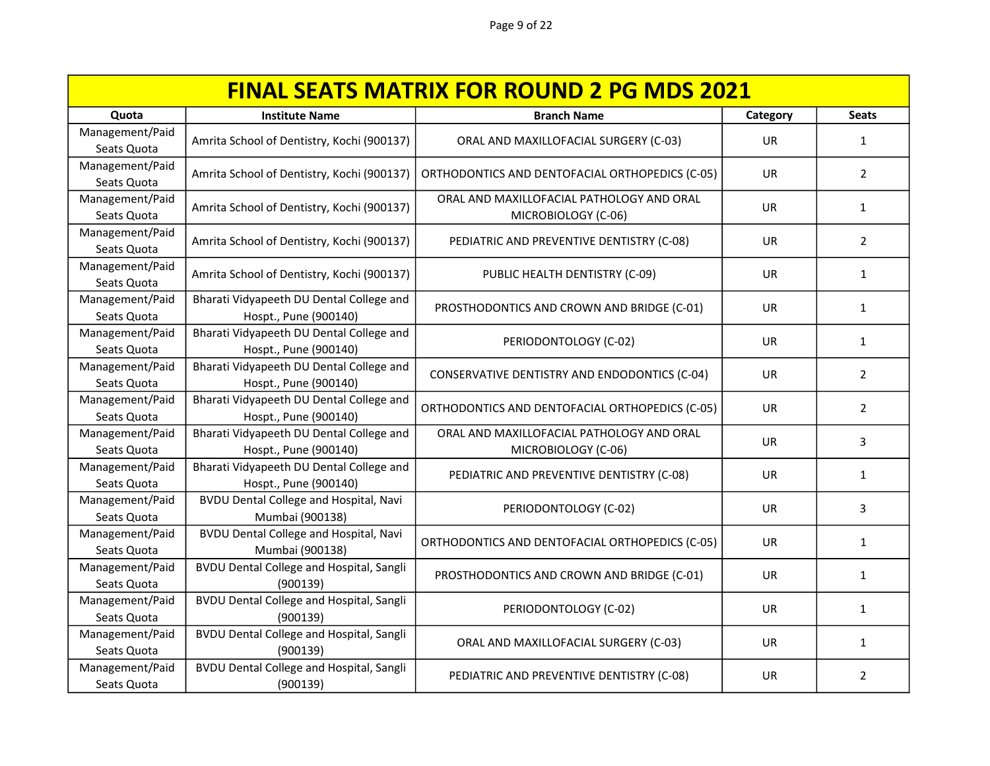| <b>FINAL SEATS MATRIX FOR ROUND 2 PG MDS 2021</b> |                                                                   |                                                                  |           |                |
|---------------------------------------------------|-------------------------------------------------------------------|------------------------------------------------------------------|-----------|----------------|
| Quota                                             | <b>Institute Name</b>                                             | <b>Branch Name</b>                                               | Category  | <b>Seats</b>   |
| Management/Paid<br>Seats Quota                    | Amrita School of Dentistry, Kochi (900137)                        | ORAL AND MAXILLOFACIAL SURGERY (C-03)                            | <b>UR</b> | $\mathbf{1}$   |
| Management/Paid<br>Seats Quota                    | Amrita School of Dentistry, Kochi (900137)                        | ORTHODONTICS AND DENTOFACIAL ORTHOPEDICS (C-05)                  | UR        | $\overline{2}$ |
| Management/Paid<br>Seats Quota                    | Amrita School of Dentistry, Kochi (900137)                        | ORAL AND MAXILLOFACIAL PATHOLOGY AND ORAL<br>MICROBIOLOGY (C-06) | <b>UR</b> | 1              |
| Management/Paid<br>Seats Quota                    | Amrita School of Dentistry, Kochi (900137)                        | PEDIATRIC AND PREVENTIVE DENTISTRY (C-08)                        | UR        | $\overline{2}$ |
| Management/Paid<br>Seats Quota                    | Amrita School of Dentistry, Kochi (900137)                        | PUBLIC HEALTH DENTISTRY (C-09)                                   | UR        | $\mathbf{1}$   |
| Management/Paid<br>Seats Quota                    | Bharati Vidyapeeth DU Dental College and<br>Hospt., Pune (900140) | PROSTHODONTICS AND CROWN AND BRIDGE (C-01)                       | <b>UR</b> | 1              |
| Management/Paid<br>Seats Quota                    | Bharati Vidyapeeth DU Dental College and<br>Hospt., Pune (900140) | PERIODONTOLOGY (C-02)                                            | UR.       | 1              |
| Management/Paid<br>Seats Quota                    | Bharati Vidyapeeth DU Dental College and<br>Hospt., Pune (900140) | CONSERVATIVE DENTISTRY AND ENDODONTICS (C-04)                    | <b>UR</b> | $\overline{2}$ |
| Management/Paid<br>Seats Quota                    | Bharati Vidyapeeth DU Dental College and<br>Hospt., Pune (900140) | ORTHODONTICS AND DENTOFACIAL ORTHOPEDICS (C-05)                  | <b>UR</b> | $\overline{2}$ |
| Management/Paid<br>Seats Quota                    | Bharati Vidyapeeth DU Dental College and<br>Hospt., Pune (900140) | ORAL AND MAXILLOFACIAL PATHOLOGY AND ORAL<br>MICROBIOLOGY (C-06) | UR        | 3              |
| Management/Paid<br>Seats Quota                    | Bharati Vidyapeeth DU Dental College and<br>Hospt., Pune (900140) | PEDIATRIC AND PREVENTIVE DENTISTRY (C-08)                        | <b>UR</b> | 1              |
| Management/Paid<br>Seats Quota                    | <b>BVDU Dental College and Hospital, Navi</b><br>Mumbai (900138)  | PERIODONTOLOGY (C-02)                                            | <b>UR</b> | 3              |
| Management/Paid<br>Seats Quota                    | <b>BVDU Dental College and Hospital, Navi</b><br>Mumbai (900138)  | ORTHODONTICS AND DENTOFACIAL ORTHOPEDICS (C-05)                  | <b>UR</b> | $\mathbf{1}$   |
| Management/Paid<br>Seats Quota                    | <b>BVDU Dental College and Hospital, Sangli</b><br>(900139)       | PROSTHODONTICS AND CROWN AND BRIDGE (C-01)                       | <b>UR</b> | 1              |
| Management/Paid<br>Seats Quota                    | <b>BVDU Dental College and Hospital, Sangli</b><br>(900139)       | PERIODONTOLOGY (C-02)                                            | <b>UR</b> | $\mathbf{1}$   |
| Management/Paid<br>Seats Quota                    | <b>BVDU Dental College and Hospital, Sangli</b><br>(900139)       | ORAL AND MAXILLOFACIAL SURGERY (C-03)                            | <b>UR</b> | 1              |
| Management/Paid<br>Seats Quota                    | <b>BVDU Dental College and Hospital, Sangli</b><br>(900139)       | PEDIATRIC AND PREVENTIVE DENTISTRY (C-08)                        | UR        | $\overline{2}$ |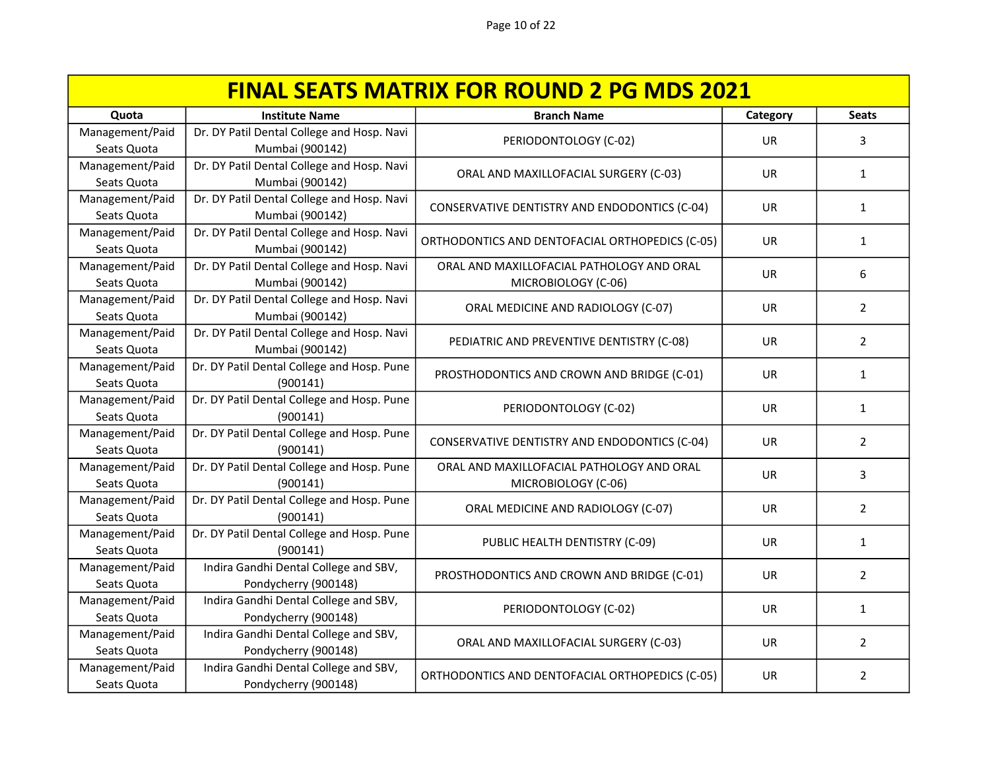| <b>FINAL SEATS MATRIX FOR ROUND 2 PG MDS 2021</b> |                                            |                                                 |           |                |
|---------------------------------------------------|--------------------------------------------|-------------------------------------------------|-----------|----------------|
| Quota                                             | <b>Institute Name</b>                      | <b>Branch Name</b>                              | Category  | <b>Seats</b>   |
| Management/Paid                                   | Dr. DY Patil Dental College and Hosp. Navi | PERIODONTOLOGY (C-02)                           | <b>UR</b> | 3              |
| Seats Quota                                       | Mumbai (900142)                            |                                                 |           |                |
| Management/Paid                                   | Dr. DY Patil Dental College and Hosp. Navi | ORAL AND MAXILLOFACIAL SURGERY (C-03)           | UR.       | $\mathbf{1}$   |
| Seats Quota                                       | Mumbai (900142)                            |                                                 |           |                |
| Management/Paid                                   | Dr. DY Patil Dental College and Hosp. Navi | CONSERVATIVE DENTISTRY AND ENDODONTICS (C-04)   | <b>UR</b> | $\mathbf{1}$   |
| Seats Quota                                       | Mumbai (900142)                            |                                                 |           |                |
| Management/Paid                                   | Dr. DY Patil Dental College and Hosp. Navi | ORTHODONTICS AND DENTOFACIAL ORTHOPEDICS (C-05) | UR        | $\mathbf{1}$   |
| Seats Quota                                       | Mumbai (900142)                            |                                                 |           |                |
| Management/Paid                                   | Dr. DY Patil Dental College and Hosp. Navi | ORAL AND MAXILLOFACIAL PATHOLOGY AND ORAL       | UR        | 6              |
| Seats Quota                                       | Mumbai (900142)                            | MICROBIOLOGY (C-06)                             |           |                |
| Management/Paid                                   | Dr. DY Patil Dental College and Hosp. Navi | ORAL MEDICINE AND RADIOLOGY (C-07)              | UR        | $\overline{2}$ |
| Seats Quota                                       | Mumbai (900142)                            |                                                 |           |                |
| Management/Paid                                   | Dr. DY Patil Dental College and Hosp. Navi | PEDIATRIC AND PREVENTIVE DENTISTRY (C-08)       | <b>UR</b> | $\overline{2}$ |
| Seats Quota                                       | Mumbai (900142)                            |                                                 |           |                |
| Management/Paid                                   | Dr. DY Patil Dental College and Hosp. Pune | PROSTHODONTICS AND CROWN AND BRIDGE (C-01)      | UR.       | $\mathbf{1}$   |
| Seats Quota                                       | (900141)                                   |                                                 |           |                |
| Management/Paid                                   | Dr. DY Patil Dental College and Hosp. Pune | PERIODONTOLOGY (C-02)                           | <b>UR</b> | $\mathbf{1}$   |
| Seats Quota                                       | (900141)                                   |                                                 |           |                |
| Management/Paid                                   | Dr. DY Patil Dental College and Hosp. Pune | CONSERVATIVE DENTISTRY AND ENDODONTICS (C-04)   | <b>UR</b> | $\overline{2}$ |
| Seats Quota                                       | (900141)                                   |                                                 |           |                |
| Management/Paid                                   | Dr. DY Patil Dental College and Hosp. Pune | ORAL AND MAXILLOFACIAL PATHOLOGY AND ORAL       | UR        | 3              |
| Seats Quota                                       | (900141)                                   | MICROBIOLOGY (C-06)                             |           |                |
| Management/Paid                                   | Dr. DY Patil Dental College and Hosp. Pune | ORAL MEDICINE AND RADIOLOGY (C-07)              | <b>UR</b> | $\overline{2}$ |
| Seats Quota                                       | (900141)                                   |                                                 |           |                |
| Management/Paid                                   | Dr. DY Patil Dental College and Hosp. Pune | PUBLIC HEALTH DENTISTRY (C-09)                  | UR.       | $\mathbf{1}$   |
| Seats Quota                                       | (900141)                                   |                                                 |           |                |
| Management/Paid                                   | Indira Gandhi Dental College and SBV,      | PROSTHODONTICS AND CROWN AND BRIDGE (C-01)      | UR.       | $\overline{2}$ |
| Seats Quota                                       | Pondycherry (900148)                       |                                                 |           |                |
| Management/Paid                                   | Indira Gandhi Dental College and SBV,      | PERIODONTOLOGY (C-02)                           | UR.       | 1              |
| Seats Quota                                       | Pondycherry (900148)                       |                                                 |           |                |
| Management/Paid                                   | Indira Gandhi Dental College and SBV,      | ORAL AND MAXILLOFACIAL SURGERY (C-03)           | <b>UR</b> | $\overline{2}$ |
| Seats Quota                                       | Pondycherry (900148)                       |                                                 |           |                |
| Management/Paid                                   | Indira Gandhi Dental College and SBV,      | ORTHODONTICS AND DENTOFACIAL ORTHOPEDICS (C-05) | UR        | $\overline{2}$ |
| Seats Quota                                       | Pondycherry (900148)                       |                                                 |           |                |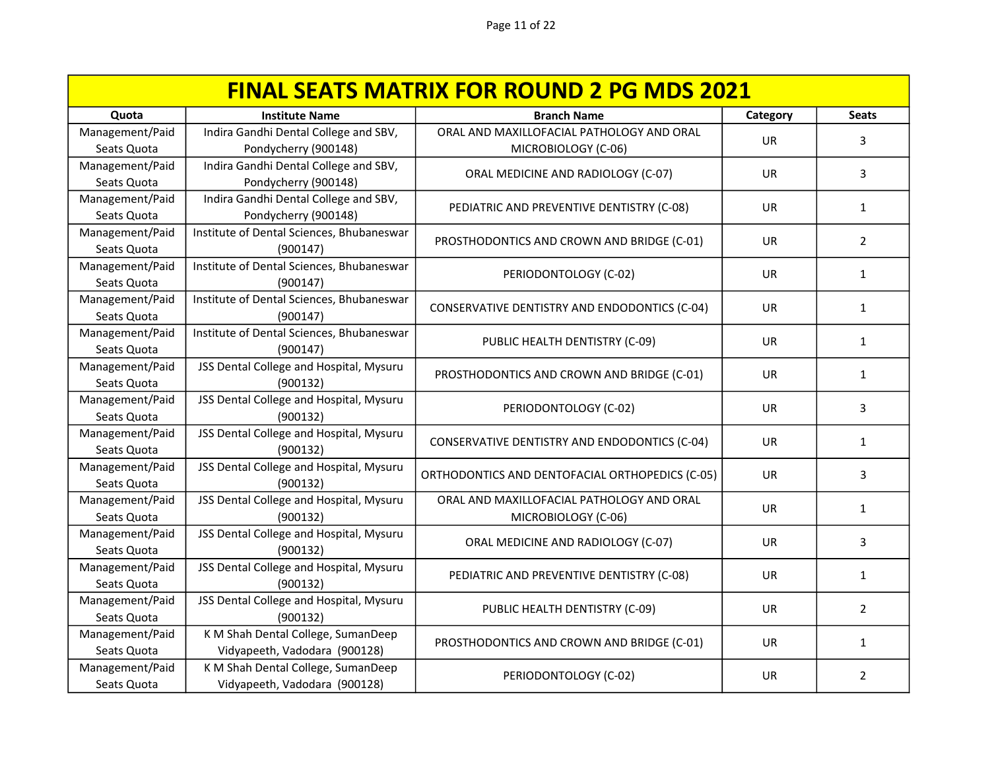| <b>FINAL SEATS MATRIX FOR ROUND 2 PG MDS 2021</b> |                                                     |                                                 |           |                |
|---------------------------------------------------|-----------------------------------------------------|-------------------------------------------------|-----------|----------------|
| Quota                                             | <b>Institute Name</b>                               | <b>Branch Name</b>                              | Category  | <b>Seats</b>   |
| Management/Paid                                   | Indira Gandhi Dental College and SBV,               | ORAL AND MAXILLOFACIAL PATHOLOGY AND ORAL       | <b>UR</b> | 3              |
| Seats Quota                                       | Pondycherry (900148)                                | MICROBIOLOGY (C-06)                             |           |                |
| Management/Paid                                   | Indira Gandhi Dental College and SBV,               | ORAL MEDICINE AND RADIOLOGY (C-07)              | <b>UR</b> | 3              |
| Seats Quota                                       | Pondycherry (900148)                                |                                                 |           |                |
| Management/Paid                                   | Indira Gandhi Dental College and SBV,               | PEDIATRIC AND PREVENTIVE DENTISTRY (C-08)       | UR        | 1              |
| Seats Quota                                       | Pondycherry (900148)                                |                                                 |           |                |
| Management/Paid                                   | Institute of Dental Sciences, Bhubaneswar           | PROSTHODONTICS AND CROWN AND BRIDGE (C-01)      | <b>UR</b> | $\overline{2}$ |
| Seats Quota                                       | (900147)                                            |                                                 |           |                |
| Management/Paid                                   | Institute of Dental Sciences, Bhubaneswar           | PERIODONTOLOGY (C-02)                           | <b>UR</b> | $\mathbf{1}$   |
| Seats Quota                                       | (900147)                                            |                                                 |           |                |
| Management/Paid                                   | Institute of Dental Sciences, Bhubaneswar           | CONSERVATIVE DENTISTRY AND ENDODONTICS (C-04)   | UR        | $\mathbf{1}$   |
| Seats Quota                                       | (900147)                                            |                                                 |           |                |
| Management/Paid                                   | Institute of Dental Sciences, Bhubaneswar           | PUBLIC HEALTH DENTISTRY (C-09)                  | <b>UR</b> | $\mathbf{1}$   |
| Seats Quota                                       | (900147)                                            |                                                 |           |                |
| Management/Paid                                   | JSS Dental College and Hospital, Mysuru             | PROSTHODONTICS AND CROWN AND BRIDGE (C-01)      | UR.       | $\mathbf{1}$   |
| Seats Quota                                       | (900132)                                            |                                                 |           |                |
| Management/Paid                                   | JSS Dental College and Hospital, Mysuru             | PERIODONTOLOGY (C-02)                           | <b>UR</b> | 3              |
| Seats Quota                                       | (900132)                                            |                                                 |           |                |
| Management/Paid                                   | JSS Dental College and Hospital, Mysuru             | CONSERVATIVE DENTISTRY AND ENDODONTICS (C-04)   | <b>UR</b> | $\mathbf{1}$   |
| Seats Quota                                       | (900132)                                            |                                                 |           |                |
| Management/Paid                                   | JSS Dental College and Hospital, Mysuru             | ORTHODONTICS AND DENTOFACIAL ORTHOPEDICS (C-05) | UR        | 3              |
| Seats Quota                                       | (900132)                                            |                                                 |           |                |
| Management/Paid                                   | JSS Dental College and Hospital, Mysuru             | ORAL AND MAXILLOFACIAL PATHOLOGY AND ORAL       | UR        | $\mathbf{1}$   |
| Seats Quota                                       | (900132)                                            | MICROBIOLOGY (C-06)                             |           |                |
| Management/Paid                                   | JSS Dental College and Hospital, Mysuru             | ORAL MEDICINE AND RADIOLOGY (C-07)              | UR        | 3              |
| Seats Quota<br>Management/Paid                    | (900132)<br>JSS Dental College and Hospital, Mysuru |                                                 |           |                |
| Seats Quota                                       | (900132)                                            | PEDIATRIC AND PREVENTIVE DENTISTRY (C-08)       | <b>UR</b> | 1              |
| Management/Paid                                   | JSS Dental College and Hospital, Mysuru             |                                                 |           |                |
| Seats Quota                                       | (900132)                                            | PUBLIC HEALTH DENTISTRY (C-09)                  | <b>UR</b> | $\overline{2}$ |
| Management/Paid                                   | K M Shah Dental College, SumanDeep                  |                                                 |           |                |
| Seats Quota                                       | Vidyapeeth, Vadodara (900128)                       | PROSTHODONTICS AND CROWN AND BRIDGE (C-01)      | UR        | 1              |
| Management/Paid                                   | K M Shah Dental College, SumanDeep                  |                                                 |           |                |
| Seats Quota                                       | Vidyapeeth, Vadodara (900128)                       | PERIODONTOLOGY (C-02)                           | UR        | 2              |
|                                                   |                                                     |                                                 |           |                |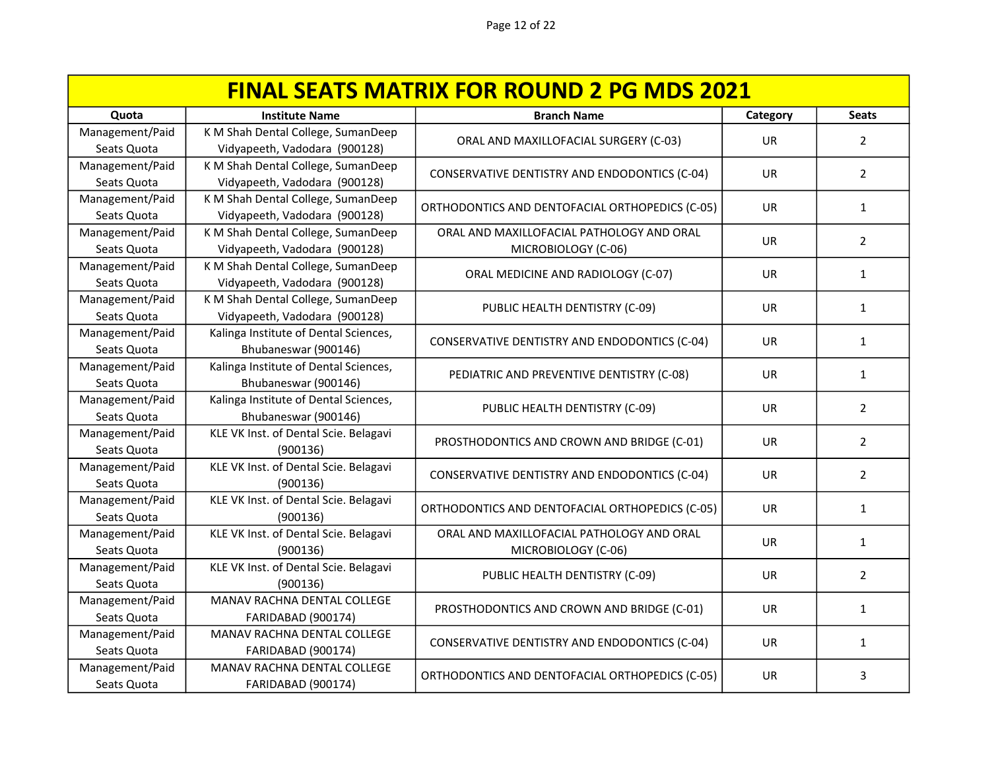| <b>FINAL SEATS MATRIX FOR ROUND 2 PG MDS 2021</b> |                                       |                                                 |           |                |
|---------------------------------------------------|---------------------------------------|-------------------------------------------------|-----------|----------------|
| Quota                                             | <b>Institute Name</b>                 | <b>Branch Name</b>                              | Category  | <b>Seats</b>   |
| Management/Paid                                   | K M Shah Dental College, SumanDeep    | ORAL AND MAXILLOFACIAL SURGERY (C-03)           | <b>UR</b> | $\overline{2}$ |
| Seats Quota                                       | Vidyapeeth, Vadodara (900128)         |                                                 |           |                |
| Management/Paid                                   | K M Shah Dental College, SumanDeep    | CONSERVATIVE DENTISTRY AND ENDODONTICS (C-04)   | <b>UR</b> | $\overline{2}$ |
| Seats Quota                                       | Vidyapeeth, Vadodara (900128)         |                                                 |           |                |
| Management/Paid                                   | K M Shah Dental College, SumanDeep    | ORTHODONTICS AND DENTOFACIAL ORTHOPEDICS (C-05) | <b>UR</b> | $\mathbf{1}$   |
| Seats Quota                                       | Vidyapeeth, Vadodara (900128)         |                                                 |           |                |
| Management/Paid                                   | K M Shah Dental College, SumanDeep    | ORAL AND MAXILLOFACIAL PATHOLOGY AND ORAL       | <b>UR</b> | $\overline{2}$ |
| Seats Quota                                       | Vidyapeeth, Vadodara (900128)         | MICROBIOLOGY (C-06)                             |           |                |
| Management/Paid                                   | K M Shah Dental College, SumanDeep    | ORAL MEDICINE AND RADIOLOGY (C-07)              | UR        | $\mathbf{1}$   |
| Seats Quota                                       | Vidyapeeth, Vadodara (900128)         |                                                 |           |                |
| Management/Paid                                   | K M Shah Dental College, SumanDeep    | PUBLIC HEALTH DENTISTRY (C-09)                  | UR        | $\mathbf{1}$   |
| Seats Quota                                       | Vidyapeeth, Vadodara (900128)         |                                                 |           |                |
| Management/Paid                                   | Kalinga Institute of Dental Sciences, | CONSERVATIVE DENTISTRY AND ENDODONTICS (C-04)   | UR.       | 1              |
| Seats Quota                                       | Bhubaneswar (900146)                  |                                                 |           |                |
| Management/Paid                                   | Kalinga Institute of Dental Sciences, | PEDIATRIC AND PREVENTIVE DENTISTRY (C-08)       | <b>UR</b> | $\mathbf{1}$   |
| Seats Quota                                       | Bhubaneswar (900146)                  |                                                 |           |                |
| Management/Paid                                   | Kalinga Institute of Dental Sciences, | PUBLIC HEALTH DENTISTRY (C-09)                  | <b>UR</b> | $\overline{2}$ |
| Seats Quota                                       | Bhubaneswar (900146)                  |                                                 |           |                |
| Management/Paid                                   | KLE VK Inst. of Dental Scie. Belagavi | PROSTHODONTICS AND CROWN AND BRIDGE (C-01)      | UR        | $\overline{2}$ |
| Seats Quota                                       | (900136)                              |                                                 |           |                |
| Management/Paid                                   | KLE VK Inst. of Dental Scie. Belagavi | CONSERVATIVE DENTISTRY AND ENDODONTICS (C-04)   | UR.       | $\overline{2}$ |
| Seats Quota                                       | (900136)                              |                                                 |           |                |
| Management/Paid                                   | KLE VK Inst. of Dental Scie. Belagavi | ORTHODONTICS AND DENTOFACIAL ORTHOPEDICS (C-05) | UR        | $\mathbf{1}$   |
| Seats Quota                                       | (900136)                              |                                                 |           |                |
| Management/Paid                                   | KLE VK Inst. of Dental Scie. Belagavi | ORAL AND MAXILLOFACIAL PATHOLOGY AND ORAL       | UR        | $\mathbf{1}$   |
| Seats Quota                                       | (900136)                              | MICROBIOLOGY (C-06)                             |           |                |
| Management/Paid                                   | KLE VK Inst. of Dental Scie. Belagavi | PUBLIC HEALTH DENTISTRY (C-09)                  | UR.       | $\overline{2}$ |
| Seats Quota                                       | (900136)                              |                                                 |           |                |
| Management/Paid                                   | MANAV RACHNA DENTAL COLLEGE           | PROSTHODONTICS AND CROWN AND BRIDGE (C-01)      | <b>UR</b> | $\mathbf{1}$   |
| Seats Quota                                       | FARIDABAD (900174)                    |                                                 |           |                |
| Management/Paid                                   | MANAV RACHNA DENTAL COLLEGE           | CONSERVATIVE DENTISTRY AND ENDODONTICS (C-04)   | UR        | $\mathbf{1}$   |
| Seats Quota                                       | <b>FARIDABAD (900174)</b>             |                                                 |           |                |
| Management/Paid                                   | MANAV RACHNA DENTAL COLLEGE           | ORTHODONTICS AND DENTOFACIAL ORTHOPEDICS (C-05) | UR        | 3              |
| Seats Quota                                       | FARIDABAD (900174)                    |                                                 |           |                |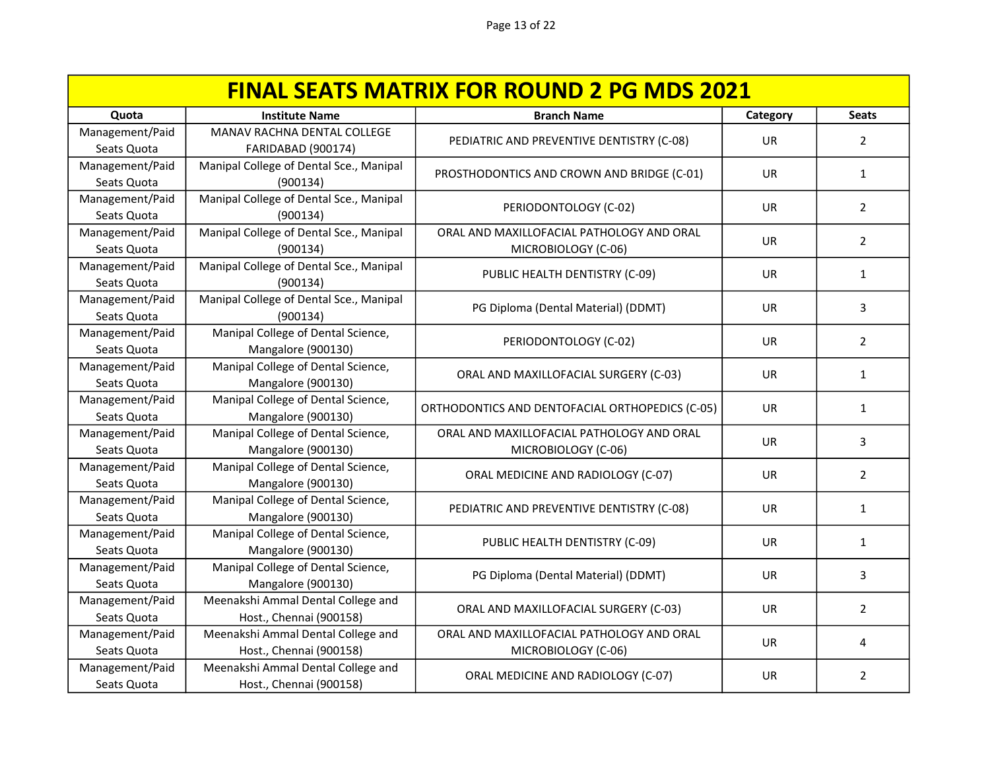| <b>FINAL SEATS MATRIX FOR ROUND 2 PG MDS 2021</b> |                                                               |                                                                  |           |                |
|---------------------------------------------------|---------------------------------------------------------------|------------------------------------------------------------------|-----------|----------------|
| Quota                                             | <b>Institute Name</b>                                         | <b>Branch Name</b>                                               | Category  | <b>Seats</b>   |
| Management/Paid<br>Seats Quota                    | MANAV RACHNA DENTAL COLLEGE<br><b>FARIDABAD (900174)</b>      | PEDIATRIC AND PREVENTIVE DENTISTRY (C-08)                        | UR        | $\overline{2}$ |
| Management/Paid<br>Seats Quota                    | Manipal College of Dental Sce., Manipal<br>(900134)           | PROSTHODONTICS AND CROWN AND BRIDGE (C-01)                       | UR.       | 1              |
| Management/Paid<br>Seats Quota                    | Manipal College of Dental Sce., Manipal<br>(900134)           | PERIODONTOLOGY (C-02)                                            | <b>UR</b> | $\overline{2}$ |
| Management/Paid<br>Seats Quota                    | Manipal College of Dental Sce., Manipal<br>(900134)           | ORAL AND MAXILLOFACIAL PATHOLOGY AND ORAL<br>MICROBIOLOGY (C-06) | UR        | $\overline{2}$ |
| Management/Paid<br>Seats Quota                    | Manipal College of Dental Sce., Manipal<br>(900134)           | PUBLIC HEALTH DENTISTRY (C-09)                                   | <b>UR</b> | $\mathbf{1}$   |
| Management/Paid<br>Seats Quota                    | Manipal College of Dental Sce., Manipal<br>(900134)           | PG Diploma (Dental Material) (DDMT)                              | UR        | 3              |
| Management/Paid<br>Seats Quota                    | Manipal College of Dental Science,<br>Mangalore (900130)      | PERIODONTOLOGY (C-02)                                            | UR        | $\overline{2}$ |
| Management/Paid<br>Seats Quota                    | Manipal College of Dental Science,<br>Mangalore (900130)      | ORAL AND MAXILLOFACIAL SURGERY (C-03)                            | <b>UR</b> | $\mathbf{1}$   |
| Management/Paid<br>Seats Quota                    | Manipal College of Dental Science,<br>Mangalore (900130)      | ORTHODONTICS AND DENTOFACIAL ORTHOPEDICS (C-05)                  | <b>UR</b> | $\mathbf{1}$   |
| Management/Paid<br>Seats Quota                    | Manipal College of Dental Science,<br>Mangalore (900130)      | ORAL AND MAXILLOFACIAL PATHOLOGY AND ORAL<br>MICROBIOLOGY (C-06) | <b>UR</b> | 3              |
| Management/Paid<br>Seats Quota                    | Manipal College of Dental Science,<br>Mangalore (900130)      | ORAL MEDICINE AND RADIOLOGY (C-07)                               | UR        | $\overline{2}$ |
| Management/Paid<br>Seats Quota                    | Manipal College of Dental Science,<br>Mangalore (900130)      | PEDIATRIC AND PREVENTIVE DENTISTRY (C-08)                        | UR.       | $\mathbf{1}$   |
| Management/Paid<br>Seats Quota                    | Manipal College of Dental Science,<br>Mangalore (900130)      | PUBLIC HEALTH DENTISTRY (C-09)                                   | UR.       | 1              |
| Management/Paid<br>Seats Quota                    | Manipal College of Dental Science,<br>Mangalore (900130)      | PG Diploma (Dental Material) (DDMT)                              | <b>UR</b> | 3              |
| Management/Paid<br>Seats Quota                    | Meenakshi Ammal Dental College and<br>Host., Chennai (900158) | ORAL AND MAXILLOFACIAL SURGERY (C-03)                            | UR        | $\overline{2}$ |
| Management/Paid<br>Seats Quota                    | Meenakshi Ammal Dental College and<br>Host., Chennai (900158) | ORAL AND MAXILLOFACIAL PATHOLOGY AND ORAL<br>MICROBIOLOGY (C-06) | <b>UR</b> | 4              |
| Management/Paid<br>Seats Quota                    | Meenakshi Ammal Dental College and<br>Host., Chennai (900158) | ORAL MEDICINE AND RADIOLOGY (C-07)                               | UR        | $\overline{2}$ |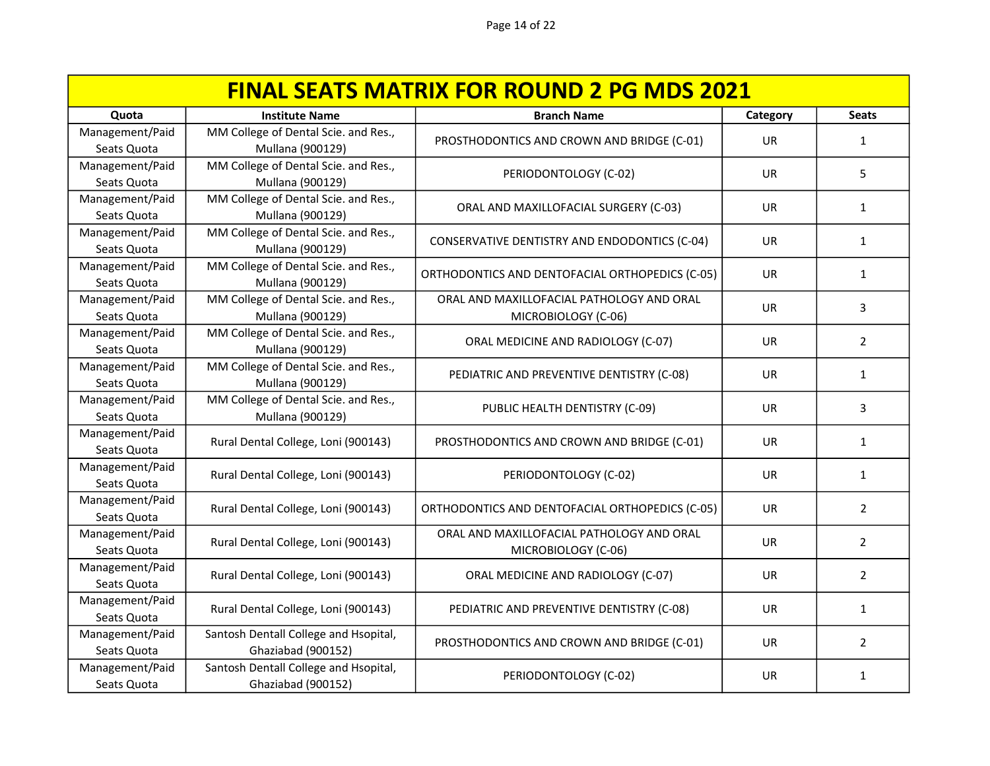| <b>FINAL SEATS MATRIX FOR ROUND 2 PG MDS 2021</b> |                                                          |                                                 |           |                |
|---------------------------------------------------|----------------------------------------------------------|-------------------------------------------------|-----------|----------------|
| Quota                                             | <b>Institute Name</b>                                    | <b>Branch Name</b>                              | Category  | <b>Seats</b>   |
| Management/Paid                                   | MM College of Dental Scie. and Res.,                     | PROSTHODONTICS AND CROWN AND BRIDGE (C-01)      | <b>UR</b> | 1              |
| Seats Quota                                       | Mullana (900129)                                         |                                                 |           |                |
| Management/Paid                                   | MM College of Dental Scie. and Res.,                     | PERIODONTOLOGY (C-02)                           | <b>UR</b> | 5              |
| Seats Quota                                       | Mullana (900129)                                         |                                                 |           |                |
| Management/Paid<br>Seats Quota                    | MM College of Dental Scie. and Res.,<br>Mullana (900129) | ORAL AND MAXILLOFACIAL SURGERY (C-03)           | UR        | 1              |
| Management/Paid                                   | MM College of Dental Scie. and Res.,                     |                                                 |           |                |
| Seats Quota                                       | Mullana (900129)                                         | CONSERVATIVE DENTISTRY AND ENDODONTICS (C-04)   | <b>UR</b> | $\mathbf{1}$   |
| Management/Paid                                   | MM College of Dental Scie. and Res.,                     |                                                 |           |                |
| Seats Quota                                       | Mullana (900129)                                         | ORTHODONTICS AND DENTOFACIAL ORTHOPEDICS (C-05) | <b>UR</b> | $\mathbf{1}$   |
| Management/Paid                                   | MM College of Dental Scie. and Res.,                     | ORAL AND MAXILLOFACIAL PATHOLOGY AND ORAL       | <b>UR</b> |                |
| Seats Quota                                       | Mullana (900129)                                         | MICROBIOLOGY (C-06)                             |           | 3              |
| Management/Paid                                   | MM College of Dental Scie. and Res.,                     | ORAL MEDICINE AND RADIOLOGY (C-07)              | <b>UR</b> | $\overline{2}$ |
| Seats Quota                                       | Mullana (900129)                                         |                                                 |           |                |
| Management/Paid                                   | MM College of Dental Scie. and Res.,                     | PEDIATRIC AND PREVENTIVE DENTISTRY (C-08)       | UR        | 1              |
| Seats Quota                                       | Mullana (900129)                                         |                                                 |           |                |
| Management/Paid                                   | MM College of Dental Scie. and Res.,                     | PUBLIC HEALTH DENTISTRY (C-09)                  | <b>UR</b> | 3              |
| Seats Quota                                       | Mullana (900129)                                         |                                                 |           |                |
| Management/Paid                                   | Rural Dental College, Loni (900143)                      | PROSTHODONTICS AND CROWN AND BRIDGE (C-01)      | <b>UR</b> | $\mathbf{1}$   |
| Seats Quota                                       |                                                          |                                                 |           |                |
| Management/Paid                                   | Rural Dental College, Loni (900143)                      | PERIODONTOLOGY (C-02)                           | UR        | $\mathbf{1}$   |
| Seats Quota                                       |                                                          |                                                 |           |                |
| Management/Paid<br>Seats Quota                    | Rural Dental College, Loni (900143)                      | ORTHODONTICS AND DENTOFACIAL ORTHOPEDICS (C-05) | UR        | $\overline{2}$ |
| Management/Paid                                   | Rural Dental College, Loni (900143)                      | ORAL AND MAXILLOFACIAL PATHOLOGY AND ORAL       | UR.       | $\overline{2}$ |
| Seats Quota                                       |                                                          | MICROBIOLOGY (C-06)                             |           |                |
| Management/Paid                                   | Rural Dental College, Loni (900143)                      | ORAL MEDICINE AND RADIOLOGY (C-07)              | <b>UR</b> | $\overline{2}$ |
| Seats Quota                                       |                                                          |                                                 |           |                |
| Management/Paid                                   | Rural Dental College, Loni (900143)                      | PEDIATRIC AND PREVENTIVE DENTISTRY (C-08)       | UR        | $\mathbf{1}$   |
| Seats Quota                                       |                                                          |                                                 |           |                |
| Management/Paid                                   | Santosh Dentall College and Hsopital,                    | PROSTHODONTICS AND CROWN AND BRIDGE (C-01)      | UR        | $\overline{2}$ |
| Seats Quota                                       | Ghaziabad (900152)                                       |                                                 |           |                |
| Management/Paid                                   | Santosh Dentall College and Hsopital,                    | PERIODONTOLOGY (C-02)                           | UR        | 1              |
| Seats Quota                                       | Ghaziabad (900152)                                       |                                                 |           |                |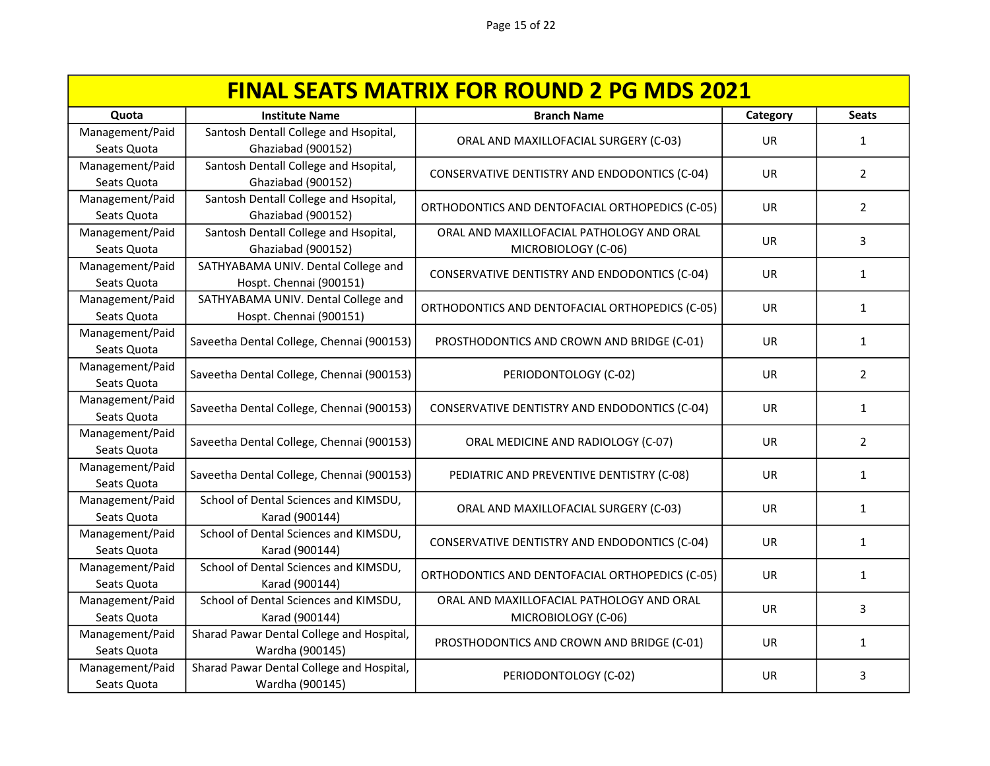| <b>FINAL SEATS MATRIX FOR ROUND 2 PG MDS 2021</b> |                                                         |                                                 |           |                |
|---------------------------------------------------|---------------------------------------------------------|-------------------------------------------------|-----------|----------------|
| Quota                                             | <b>Institute Name</b>                                   | <b>Branch Name</b>                              | Category  | <b>Seats</b>   |
| Management/Paid                                   | Santosh Dentall College and Hsopital,                   | ORAL AND MAXILLOFACIAL SURGERY (C-03)           | <b>UR</b> | 1              |
| Seats Quota                                       | Ghaziabad (900152)                                      |                                                 |           |                |
| Management/Paid                                   | Santosh Dentall College and Hsopital,                   | CONSERVATIVE DENTISTRY AND ENDODONTICS (C-04)   | <b>UR</b> | $\overline{2}$ |
| Seats Quota                                       | Ghaziabad (900152)                                      |                                                 |           |                |
| Management/Paid                                   | Santosh Dentall College and Hsopital,                   | ORTHODONTICS AND DENTOFACIAL ORTHOPEDICS (C-05) | <b>UR</b> | $\overline{2}$ |
| Seats Quota                                       | Ghaziabad (900152)                                      |                                                 |           |                |
| Management/Paid                                   | Santosh Dentall College and Hsopital,                   | ORAL AND MAXILLOFACIAL PATHOLOGY AND ORAL       | <b>UR</b> | 3              |
| Seats Quota                                       | Ghaziabad (900152)                                      | MICROBIOLOGY (C-06)                             |           |                |
| Management/Paid                                   | SATHYABAMA UNIV. Dental College and                     | CONSERVATIVE DENTISTRY AND ENDODONTICS (C-04)   | <b>UR</b> | $\mathbf{1}$   |
| Seats Quota                                       | Hospt. Chennai (900151)                                 |                                                 |           |                |
| Management/Paid                                   | SATHYABAMA UNIV. Dental College and                     | ORTHODONTICS AND DENTOFACIAL ORTHOPEDICS (C-05) | <b>UR</b> | $\mathbf{1}$   |
| Seats Quota                                       | Hospt. Chennai (900151)                                 |                                                 |           |                |
| Management/Paid                                   | Saveetha Dental College, Chennai (900153)               | PROSTHODONTICS AND CROWN AND BRIDGE (C-01)      | UR        | $\mathbf{1}$   |
| Seats Quota                                       |                                                         |                                                 |           |                |
| Management/Paid                                   | Saveetha Dental College, Chennai (900153)               | PERIODONTOLOGY (C-02)                           | UR        | $\overline{2}$ |
| Seats Quota                                       |                                                         |                                                 |           |                |
| Management/Paid                                   | Saveetha Dental College, Chennai (900153)               | CONSERVATIVE DENTISTRY AND ENDODONTICS (C-04)   | <b>UR</b> | $\mathbf{1}$   |
| Seats Quota                                       |                                                         |                                                 |           |                |
| Management/Paid                                   | Saveetha Dental College, Chennai (900153)               | ORAL MEDICINE AND RADIOLOGY (C-07)              | <b>UR</b> | 2              |
| Seats Quota                                       |                                                         |                                                 |           |                |
| Management/Paid                                   | Saveetha Dental College, Chennai (900153)               | PEDIATRIC AND PREVENTIVE DENTISTRY (C-08)       | UR        | $\mathbf{1}$   |
| Seats Quota                                       |                                                         |                                                 |           |                |
| Management/Paid                                   | School of Dental Sciences and KIMSDU,                   | ORAL AND MAXILLOFACIAL SURGERY (C-03)           | UR        | $\mathbf{1}$   |
| Seats Quota                                       | Karad (900144)                                          |                                                 |           |                |
| Management/Paid<br>Seats Quota                    | School of Dental Sciences and KIMSDU,<br>Karad (900144) | CONSERVATIVE DENTISTRY AND ENDODONTICS (C-04)   | UR.       | 1              |
| Management/Paid                                   | School of Dental Sciences and KIMSDU,                   |                                                 |           |                |
| Seats Quota                                       | Karad (900144)                                          | ORTHODONTICS AND DENTOFACIAL ORTHOPEDICS (C-05) | <b>UR</b> | 1              |
| Management/Paid                                   | School of Dental Sciences and KIMSDU,                   | ORAL AND MAXILLOFACIAL PATHOLOGY AND ORAL       |           |                |
| Seats Quota                                       | Karad (900144)                                          | MICROBIOLOGY (C-06)                             | <b>UR</b> | 3              |
| Management/Paid                                   | Sharad Pawar Dental College and Hospital,               |                                                 |           |                |
| Seats Quota                                       | Wardha (900145)                                         | PROSTHODONTICS AND CROWN AND BRIDGE (C-01)      | UR        | 1              |
| Management/Paid                                   | Sharad Pawar Dental College and Hospital,               |                                                 |           |                |
| Seats Quota                                       | Wardha (900145)                                         | PERIODONTOLOGY (C-02)                           | UR        | 3              |
|                                                   |                                                         |                                                 |           |                |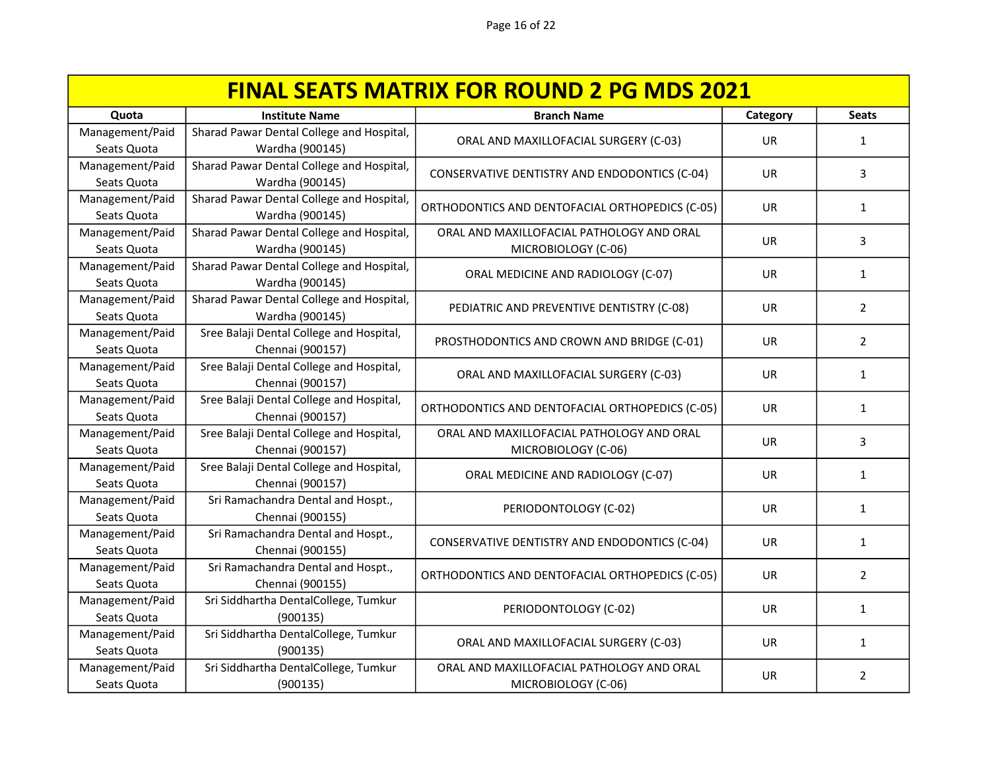| <b>FINAL SEATS MATRIX FOR ROUND 2 PG MDS 2021</b> |                                           |                                                 |           |                |
|---------------------------------------------------|-------------------------------------------|-------------------------------------------------|-----------|----------------|
| Quota                                             | <b>Institute Name</b>                     | <b>Branch Name</b>                              | Category  | <b>Seats</b>   |
| Management/Paid                                   | Sharad Pawar Dental College and Hospital, | ORAL AND MAXILLOFACIAL SURGERY (C-03)           | <b>UR</b> | 1              |
| Seats Quota                                       | Wardha (900145)                           |                                                 |           |                |
| Management/Paid                                   | Sharad Pawar Dental College and Hospital, | CONSERVATIVE DENTISTRY AND ENDODONTICS (C-04)   | UR        | 3              |
| Seats Quota                                       | Wardha (900145)                           |                                                 |           |                |
| Management/Paid                                   | Sharad Pawar Dental College and Hospital, | ORTHODONTICS AND DENTOFACIAL ORTHOPEDICS (C-05) | <b>UR</b> | 1              |
| Seats Quota                                       | Wardha (900145)                           |                                                 |           |                |
| Management/Paid                                   | Sharad Pawar Dental College and Hospital, | ORAL AND MAXILLOFACIAL PATHOLOGY AND ORAL       | <b>UR</b> | 3              |
| Seats Quota                                       | Wardha (900145)                           | MICROBIOLOGY (C-06)                             |           |                |
| Management/Paid                                   | Sharad Pawar Dental College and Hospital, | ORAL MEDICINE AND RADIOLOGY (C-07)              | UR        | $\mathbf{1}$   |
| Seats Quota                                       | Wardha (900145)                           |                                                 |           |                |
| Management/Paid                                   | Sharad Pawar Dental College and Hospital, | PEDIATRIC AND PREVENTIVE DENTISTRY (C-08)       | <b>UR</b> | $\overline{2}$ |
| Seats Quota                                       | Wardha (900145)                           |                                                 |           |                |
| Management/Paid                                   | Sree Balaji Dental College and Hospital,  | PROSTHODONTICS AND CROWN AND BRIDGE (C-01)      | UR.       | $\overline{2}$ |
| Seats Quota                                       | Chennai (900157)                          |                                                 |           |                |
| Management/Paid                                   | Sree Balaji Dental College and Hospital,  | ORAL AND MAXILLOFACIAL SURGERY (C-03)           | <b>UR</b> | $\mathbf{1}$   |
| Seats Quota                                       | Chennai (900157)                          |                                                 |           |                |
| Management/Paid                                   | Sree Balaji Dental College and Hospital,  | ORTHODONTICS AND DENTOFACIAL ORTHOPEDICS (C-05) | <b>UR</b> | $\mathbf{1}$   |
| Seats Quota                                       | Chennai (900157)                          |                                                 |           |                |
| Management/Paid                                   | Sree Balaji Dental College and Hospital,  | ORAL AND MAXILLOFACIAL PATHOLOGY AND ORAL       | UR        | 3              |
| Seats Quota                                       | Chennai (900157)                          | MICROBIOLOGY (C-06)                             |           |                |
| Management/Paid                                   | Sree Balaji Dental College and Hospital,  | ORAL MEDICINE AND RADIOLOGY (C-07)              | <b>UR</b> | 1              |
| Seats Quota                                       | Chennai (900157)                          |                                                 |           |                |
| Management/Paid                                   | Sri Ramachandra Dental and Hospt.,        | PERIODONTOLOGY (C-02)                           | UR        | $\mathbf{1}$   |
| Seats Quota                                       | Chennai (900155)                          |                                                 |           |                |
| Management/Paid                                   | Sri Ramachandra Dental and Hospt.,        | CONSERVATIVE DENTISTRY AND ENDODONTICS (C-04)   | UR.       | 1              |
| Seats Quota                                       | Chennai (900155)                          |                                                 |           |                |
| Management/Paid                                   | Sri Ramachandra Dental and Hospt.,        | ORTHODONTICS AND DENTOFACIAL ORTHOPEDICS (C-05) | UR.       | $\overline{2}$ |
| Seats Quota                                       | Chennai (900155)                          |                                                 |           |                |
| Management/Paid                                   | Sri Siddhartha DentalCollege, Tumkur      | PERIODONTOLOGY (C-02)                           | <b>UR</b> | $\mathbf{1}$   |
| Seats Quota                                       | (900135)                                  |                                                 |           |                |
| Management/Paid                                   | Sri Siddhartha DentalCollege, Tumkur      | ORAL AND MAXILLOFACIAL SURGERY (C-03)           | <b>UR</b> | 1              |
| Seats Quota                                       | (900135)                                  |                                                 |           |                |
| Management/Paid                                   | Sri Siddhartha DentalCollege, Tumkur      | ORAL AND MAXILLOFACIAL PATHOLOGY AND ORAL       | UR        | $\overline{2}$ |
| Seats Quota                                       | (900135)                                  | MICROBIOLOGY (C-06)                             |           |                |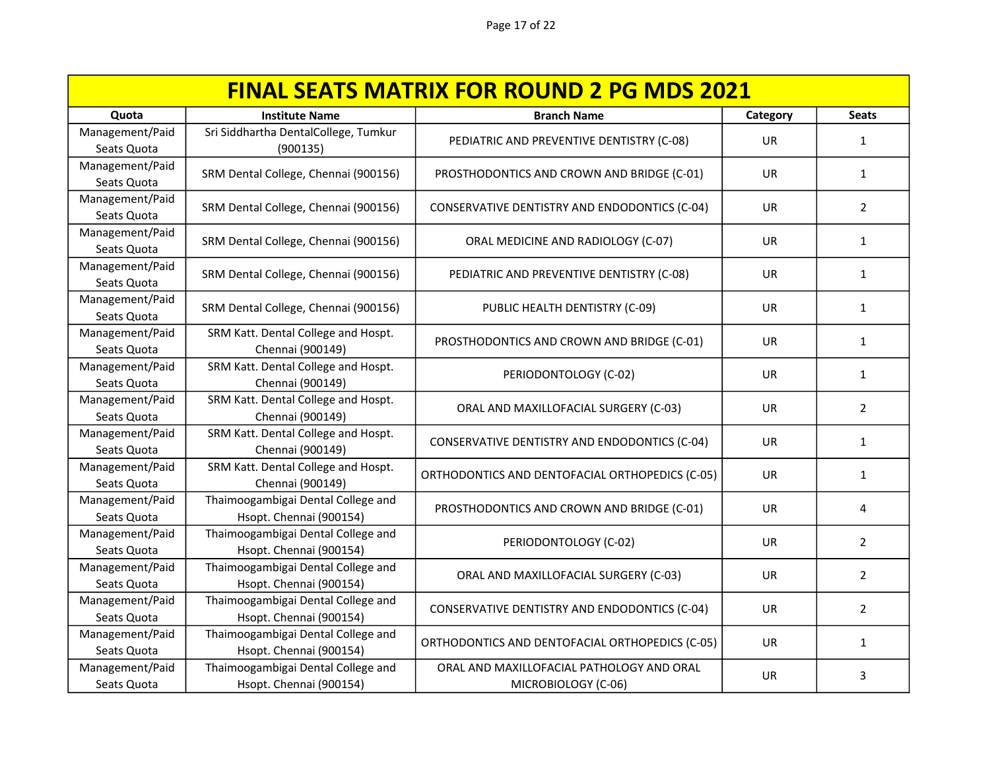| <b>FINAL SEATS MATRIX FOR ROUND 2 PG MDS 2021</b> |                                                               |                                                                  |           |                |
|---------------------------------------------------|---------------------------------------------------------------|------------------------------------------------------------------|-----------|----------------|
| Quota                                             | <b>Institute Name</b>                                         | <b>Branch Name</b>                                               | Category  | <b>Seats</b>   |
| Management/Paid<br>Seats Quota                    | Sri Siddhartha DentalCollege, Tumkur<br>(900135)              | PEDIATRIC AND PREVENTIVE DENTISTRY (C-08)                        | <b>UR</b> | $\mathbf{1}$   |
| Management/Paid<br>Seats Quota                    | SRM Dental College, Chennai (900156)                          | PROSTHODONTICS AND CROWN AND BRIDGE (C-01)                       | <b>UR</b> | $\mathbf{1}$   |
| Management/Paid<br>Seats Quota                    | SRM Dental College, Chennai (900156)                          | CONSERVATIVE DENTISTRY AND ENDODONTICS (C-04)                    | UR        | $\overline{2}$ |
| Management/Paid<br>Seats Quota                    | SRM Dental College, Chennai (900156)                          | ORAL MEDICINE AND RADIOLOGY (C-07)                               | <b>UR</b> | $\mathbf{1}$   |
| Management/Paid<br>Seats Quota                    | SRM Dental College, Chennai (900156)                          | PEDIATRIC AND PREVENTIVE DENTISTRY (C-08)                        | <b>UR</b> | $\mathbf{1}$   |
| Management/Paid<br>Seats Quota                    | SRM Dental College, Chennai (900156)                          | PUBLIC HEALTH DENTISTRY (C-09)                                   | UR        | $\mathbf{1}$   |
| Management/Paid<br>Seats Quota                    | SRM Katt. Dental College and Hospt.<br>Chennai (900149)       | PROSTHODONTICS AND CROWN AND BRIDGE (C-01)                       | <b>UR</b> | $\mathbf{1}$   |
| Management/Paid<br>Seats Quota                    | SRM Katt. Dental College and Hospt.<br>Chennai (900149)       | PERIODONTOLOGY (C-02)                                            | UR        | $\mathbf{1}$   |
| Management/Paid<br>Seats Quota                    | SRM Katt. Dental College and Hospt.<br>Chennai (900149)       | ORAL AND MAXILLOFACIAL SURGERY (C-03)                            | <b>UR</b> | $\overline{2}$ |
| Management/Paid<br>Seats Quota                    | SRM Katt. Dental College and Hospt.<br>Chennai (900149)       | CONSERVATIVE DENTISTRY AND ENDODONTICS (C-04)                    | <b>UR</b> | $\mathbf{1}$   |
| Management/Paid<br>Seats Quota                    | SRM Katt. Dental College and Hospt.<br>Chennai (900149)       | ORTHODONTICS AND DENTOFACIAL ORTHOPEDICS (C-05)                  | UR        | $\mathbf{1}$   |
| Management/Paid<br>Seats Quota                    | Thaimoogambigai Dental College and<br>Hsopt. Chennai (900154) | PROSTHODONTICS AND CROWN AND BRIDGE (C-01)                       | UR        | 4              |
| Management/Paid<br>Seats Quota                    | Thaimoogambigai Dental College and<br>Hsopt. Chennai (900154) | PERIODONTOLOGY (C-02)                                            | UR.       | $\overline{2}$ |
| Management/Paid<br>Seats Quota                    | Thaimoogambigai Dental College and<br>Hsopt. Chennai (900154) | ORAL AND MAXILLOFACIAL SURGERY (C-03)                            | <b>UR</b> | $\overline{2}$ |
| Management/Paid<br>Seats Quota                    | Thaimoogambigai Dental College and<br>Hsopt. Chennai (900154) | CONSERVATIVE DENTISTRY AND ENDODONTICS (C-04)                    | UR.       | $\overline{2}$ |
| Management/Paid<br>Seats Quota                    | Thaimoogambigai Dental College and<br>Hsopt. Chennai (900154) | ORTHODONTICS AND DENTOFACIAL ORTHOPEDICS (C-05)                  | UR.       | 1              |
| Management/Paid<br>Seats Quota                    | Thaimoogambigai Dental College and<br>Hsopt. Chennai (900154) | ORAL AND MAXILLOFACIAL PATHOLOGY AND ORAL<br>MICROBIOLOGY (C-06) | UR        | 3              |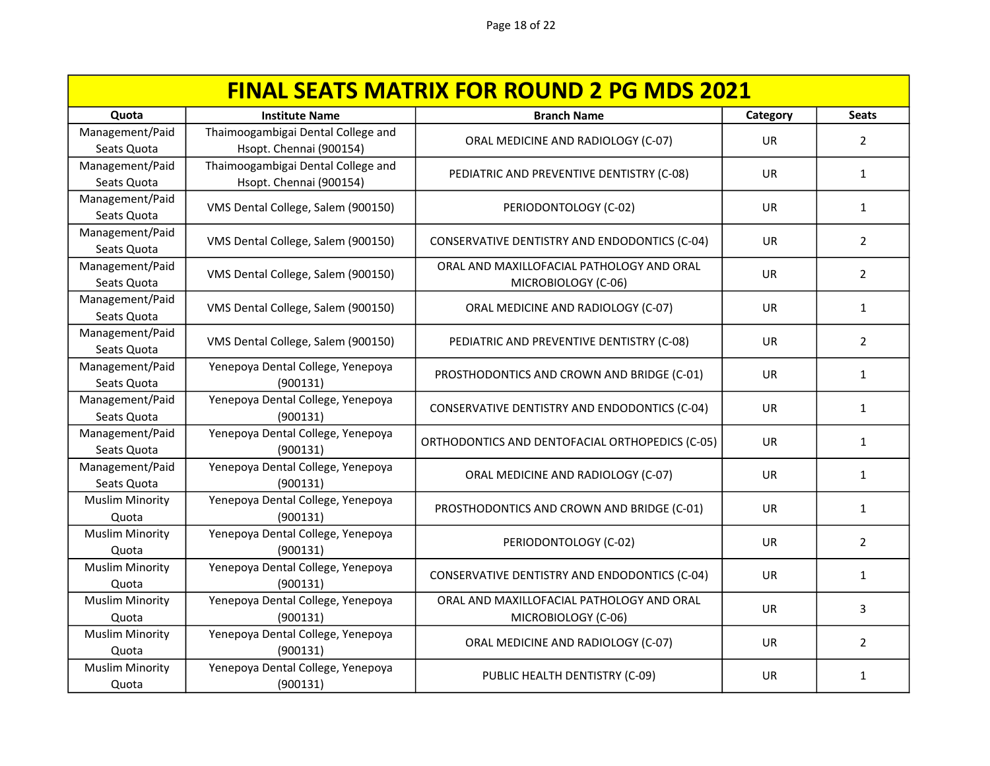| <b>FINAL SEATS MATRIX FOR ROUND 2 PG MDS 2021</b> |                                                               |                                                                  |           |                |
|---------------------------------------------------|---------------------------------------------------------------|------------------------------------------------------------------|-----------|----------------|
| Quota                                             | <b>Institute Name</b>                                         | <b>Branch Name</b>                                               | Category  | <b>Seats</b>   |
| Management/Paid<br>Seats Quota                    | Thaimoogambigai Dental College and<br>Hsopt. Chennai (900154) | ORAL MEDICINE AND RADIOLOGY (C-07)                               | <b>UR</b> | $\overline{2}$ |
| Management/Paid<br>Seats Quota                    | Thaimoogambigai Dental College and<br>Hsopt. Chennai (900154) | PEDIATRIC AND PREVENTIVE DENTISTRY (C-08)                        | <b>UR</b> | $\mathbf{1}$   |
| Management/Paid<br>Seats Quota                    | VMS Dental College, Salem (900150)                            | PERIODONTOLOGY (C-02)                                            | UR        | $\mathbf{1}$   |
| Management/Paid<br>Seats Quota                    | VMS Dental College, Salem (900150)                            | CONSERVATIVE DENTISTRY AND ENDODONTICS (C-04)                    | UR        | $\overline{2}$ |
| Management/Paid<br>Seats Quota                    | VMS Dental College, Salem (900150)                            | ORAL AND MAXILLOFACIAL PATHOLOGY AND ORAL<br>MICROBIOLOGY (C-06) | <b>UR</b> | $\overline{2}$ |
| Management/Paid<br>Seats Quota                    | VMS Dental College, Salem (900150)                            | ORAL MEDICINE AND RADIOLOGY (C-07)                               | <b>UR</b> | $\mathbf{1}$   |
| Management/Paid<br>Seats Quota                    | VMS Dental College, Salem (900150)                            | PEDIATRIC AND PREVENTIVE DENTISTRY (C-08)                        | <b>UR</b> | $\overline{2}$ |
| Management/Paid<br>Seats Quota                    | Yenepoya Dental College, Yenepoya<br>(900131)                 | PROSTHODONTICS AND CROWN AND BRIDGE (C-01)                       | UR.       | $\mathbf{1}$   |
| Management/Paid<br>Seats Quota                    | Yenepoya Dental College, Yenepoya<br>(900131)                 | CONSERVATIVE DENTISTRY AND ENDODONTICS (C-04)                    | UR.       | $\mathbf{1}$   |
| Management/Paid<br>Seats Quota                    | Yenepoya Dental College, Yenepoya<br>(900131)                 | ORTHODONTICS AND DENTOFACIAL ORTHOPEDICS (C-05)                  | <b>UR</b> | $\mathbf{1}$   |
| Management/Paid<br>Seats Quota                    | Yenepoya Dental College, Yenepoya<br>(900131)                 | ORAL MEDICINE AND RADIOLOGY (C-07)                               | UR        | $\mathbf{1}$   |
| <b>Muslim Minority</b><br>Quota                   | Yenepoya Dental College, Yenepoya<br>(900131)                 | PROSTHODONTICS AND CROWN AND BRIDGE (C-01)                       | UR.       | 1              |
| <b>Muslim Minority</b><br>Quota                   | Yenepoya Dental College, Yenepoya<br>(900131)                 | PERIODONTOLOGY (C-02)                                            | UR.       | $\overline{2}$ |
| <b>Muslim Minority</b><br>Quota                   | Yenepoya Dental College, Yenepoya<br>(900131)                 | CONSERVATIVE DENTISTRY AND ENDODONTICS (C-04)                    | UR.       | 1              |
| <b>Muslim Minority</b><br>Quota                   | Yenepoya Dental College, Yenepoya<br>(900131)                 | ORAL AND MAXILLOFACIAL PATHOLOGY AND ORAL<br>MICROBIOLOGY (C-06) | <b>UR</b> | 3              |
| <b>Muslim Minority</b><br>Quota                   | Yenepoya Dental College, Yenepoya<br>(900131)                 | ORAL MEDICINE AND RADIOLOGY (C-07)                               | UR        | $\overline{2}$ |
| <b>Muslim Minority</b><br>Quota                   | Yenepoya Dental College, Yenepoya<br>(900131)                 | PUBLIC HEALTH DENTISTRY (C-09)                                   | UR        | $\mathbf{1}$   |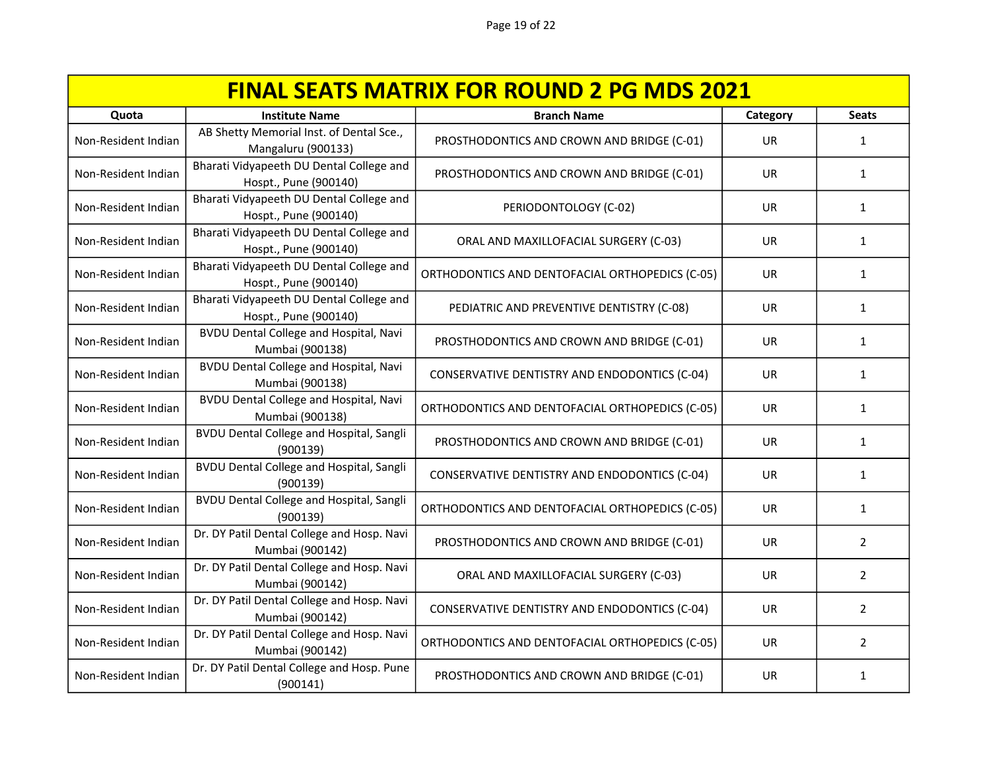| <b>FINAL SEATS MATRIX FOR ROUND 2 PG MDS 2021</b> |                                                                   |                                                 |           |                |
|---------------------------------------------------|-------------------------------------------------------------------|-------------------------------------------------|-----------|----------------|
| Quota                                             | <b>Institute Name</b>                                             | <b>Branch Name</b>                              | Category  | <b>Seats</b>   |
| Non-Resident Indian                               | AB Shetty Memorial Inst. of Dental Sce.,<br>Mangaluru (900133)    | PROSTHODONTICS AND CROWN AND BRIDGE (C-01)      | <b>UR</b> | 1              |
| Non-Resident Indian                               | Bharati Vidyapeeth DU Dental College and<br>Hospt., Pune (900140) | PROSTHODONTICS AND CROWN AND BRIDGE (C-01)      | <b>UR</b> | 1              |
| Non-Resident Indian                               | Bharati Vidyapeeth DU Dental College and<br>Hospt., Pune (900140) | PERIODONTOLOGY (C-02)                           | UR        | 1              |
| Non-Resident Indian                               | Bharati Vidyapeeth DU Dental College and<br>Hospt., Pune (900140) | ORAL AND MAXILLOFACIAL SURGERY (C-03)           | <b>UR</b> | $\mathbf{1}$   |
| Non-Resident Indian                               | Bharati Vidyapeeth DU Dental College and<br>Hospt., Pune (900140) | ORTHODONTICS AND DENTOFACIAL ORTHOPEDICS (C-05) | UR        | $\mathbf{1}$   |
| Non-Resident Indian                               | Bharati Vidyapeeth DU Dental College and<br>Hospt., Pune (900140) | PEDIATRIC AND PREVENTIVE DENTISTRY (C-08)       | UR        | $\mathbf{1}$   |
| Non-Resident Indian                               | <b>BVDU Dental College and Hospital, Navi</b><br>Mumbai (900138)  | PROSTHODONTICS AND CROWN AND BRIDGE (C-01)      | <b>UR</b> | 1              |
| Non-Resident Indian                               | <b>BVDU Dental College and Hospital, Navi</b><br>Mumbai (900138)  | CONSERVATIVE DENTISTRY AND ENDODONTICS (C-04)   | <b>UR</b> | $\mathbf{1}$   |
| Non-Resident Indian                               | <b>BVDU Dental College and Hospital, Navi</b><br>Mumbai (900138)  | ORTHODONTICS AND DENTOFACIAL ORTHOPEDICS (C-05) | <b>UR</b> | 1              |
| Non-Resident Indian                               | <b>BVDU Dental College and Hospital, Sangli</b><br>(900139)       | PROSTHODONTICS AND CROWN AND BRIDGE (C-01)      | UR.       | 1              |
| Non-Resident Indian                               | <b>BVDU Dental College and Hospital, Sangli</b><br>(900139)       | CONSERVATIVE DENTISTRY AND ENDODONTICS (C-04)   | <b>UR</b> | $\mathbf{1}$   |
| Non-Resident Indian                               | <b>BVDU Dental College and Hospital, Sangli</b><br>(900139)       | ORTHODONTICS AND DENTOFACIAL ORTHOPEDICS (C-05) | <b>UR</b> | $\mathbf{1}$   |
| Non-Resident Indian                               | Dr. DY Patil Dental College and Hosp. Navi<br>Mumbai (900142)     | PROSTHODONTICS AND CROWN AND BRIDGE (C-01)      | UR        | 2              |
| Non-Resident Indian                               | Dr. DY Patil Dental College and Hosp. Navi<br>Mumbai (900142)     | ORAL AND MAXILLOFACIAL SURGERY (C-03)           | <b>UR</b> | $\overline{2}$ |
| Non-Resident Indian                               | Dr. DY Patil Dental College and Hosp. Navi<br>Mumbai (900142)     | CONSERVATIVE DENTISTRY AND ENDODONTICS (C-04)   | <b>UR</b> | $\overline{2}$ |
| Non-Resident Indian                               | Dr. DY Patil Dental College and Hosp. Navi<br>Mumbai (900142)     | ORTHODONTICS AND DENTOFACIAL ORTHOPEDICS (C-05) | <b>UR</b> | $\overline{2}$ |
| Non-Resident Indian                               | Dr. DY Patil Dental College and Hosp. Pune<br>(900141)            | PROSTHODONTICS AND CROWN AND BRIDGE (C-01)      | UR        | 1              |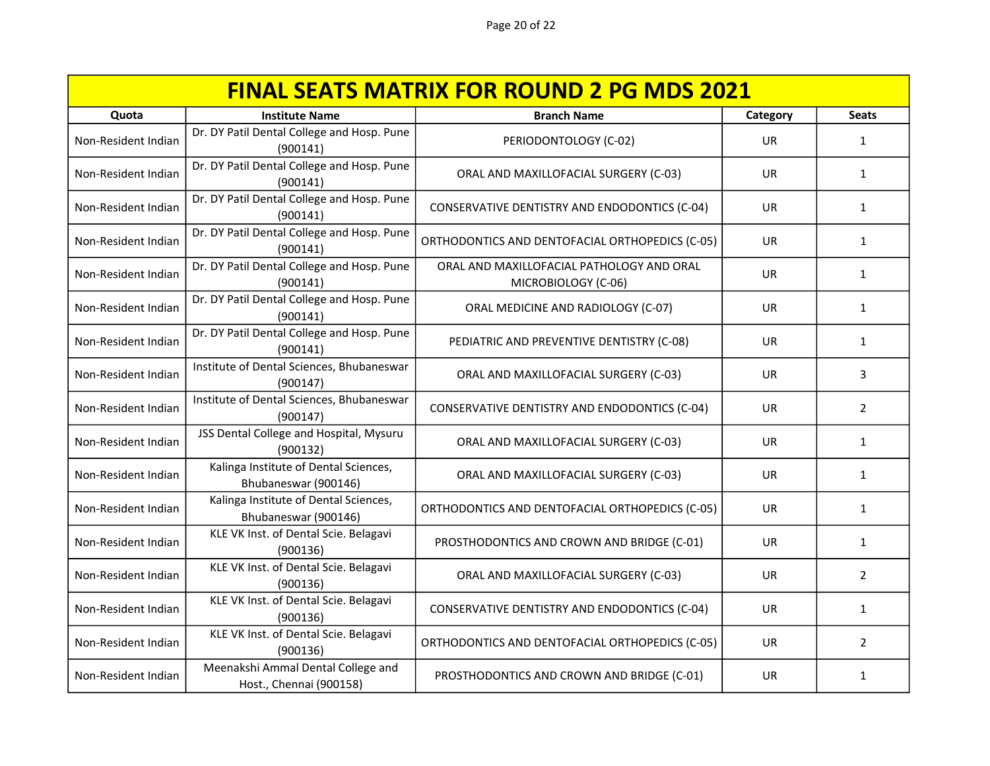| <b>FINAL SEATS MATRIX FOR ROUND 2 PG MDS 2021</b> |                                                               |                                                                  |           |                |
|---------------------------------------------------|---------------------------------------------------------------|------------------------------------------------------------------|-----------|----------------|
| Quota                                             | <b>Institute Name</b>                                         | <b>Branch Name</b>                                               | Category  | <b>Seats</b>   |
| Non-Resident Indian                               | Dr. DY Patil Dental College and Hosp. Pune<br>(900141)        | PERIODONTOLOGY (C-02)                                            | <b>UR</b> | $\mathbf{1}$   |
| Non-Resident Indian                               | Dr. DY Patil Dental College and Hosp. Pune<br>(900141)        | ORAL AND MAXILLOFACIAL SURGERY (C-03)                            | <b>UR</b> | $\mathbf{1}$   |
| Non-Resident Indian                               | Dr. DY Patil Dental College and Hosp. Pune<br>(900141)        | CONSERVATIVE DENTISTRY AND ENDODONTICS (C-04)                    | UR        | $\mathbf{1}$   |
| Non-Resident Indian                               | Dr. DY Patil Dental College and Hosp. Pune<br>(900141)        | ORTHODONTICS AND DENTOFACIAL ORTHOPEDICS (C-05)                  | <b>UR</b> | $\mathbf{1}$   |
| Non-Resident Indian                               | Dr. DY Patil Dental College and Hosp. Pune<br>(900141)        | ORAL AND MAXILLOFACIAL PATHOLOGY AND ORAL<br>MICROBIOLOGY (C-06) | <b>UR</b> | $\mathbf{1}$   |
| Non-Resident Indian                               | Dr. DY Patil Dental College and Hosp. Pune<br>(900141)        | ORAL MEDICINE AND RADIOLOGY (C-07)                               | UR        | 1              |
| Non-Resident Indian                               | Dr. DY Patil Dental College and Hosp. Pune<br>(900141)        | PEDIATRIC AND PREVENTIVE DENTISTRY (C-08)                        | UR        | 1              |
| Non-Resident Indian                               | Institute of Dental Sciences, Bhubaneswar<br>(900147)         | ORAL AND MAXILLOFACIAL SURGERY (C-03)                            | UR.       | 3              |
| Non-Resident Indian                               | Institute of Dental Sciences, Bhubaneswar<br>(900147)         | CONSERVATIVE DENTISTRY AND ENDODONTICS (C-04)                    | <b>UR</b> | $\overline{2}$ |
| Non-Resident Indian                               | JSS Dental College and Hospital, Mysuru<br>(900132)           | ORAL AND MAXILLOFACIAL SURGERY (C-03)                            | <b>UR</b> | $\mathbf{1}$   |
| Non-Resident Indian                               | Kalinga Institute of Dental Sciences,<br>Bhubaneswar (900146) | ORAL AND MAXILLOFACIAL SURGERY (C-03)                            | UR        | $\mathbf{1}$   |
| Non-Resident Indian                               | Kalinga Institute of Dental Sciences,<br>Bhubaneswar (900146) | ORTHODONTICS AND DENTOFACIAL ORTHOPEDICS (C-05)                  | UR        | $\mathbf{1}$   |
| Non-Resident Indian                               | KLE VK Inst. of Dental Scie. Belagavi<br>(900136)             | PROSTHODONTICS AND CROWN AND BRIDGE (C-01)                       | UR        | 1              |
| Non-Resident Indian                               | KLE VK Inst. of Dental Scie. Belagavi<br>(900136)             | ORAL AND MAXILLOFACIAL SURGERY (C-03)                            | <b>UR</b> | $\overline{2}$ |
| Non-Resident Indian                               | KLE VK Inst. of Dental Scie. Belagavi<br>(900136)             | CONSERVATIVE DENTISTRY AND ENDODONTICS (C-04)                    | UR        | $\mathbf{1}$   |
| Non-Resident Indian                               | KLE VK Inst. of Dental Scie. Belagavi<br>(900136)             | ORTHODONTICS AND DENTOFACIAL ORTHOPEDICS (C-05)                  | UR        | $\overline{2}$ |
| Non-Resident Indian                               | Meenakshi Ammal Dental College and<br>Host., Chennai (900158) | PROSTHODONTICS AND CROWN AND BRIDGE (C-01)                       | UR        | 1              |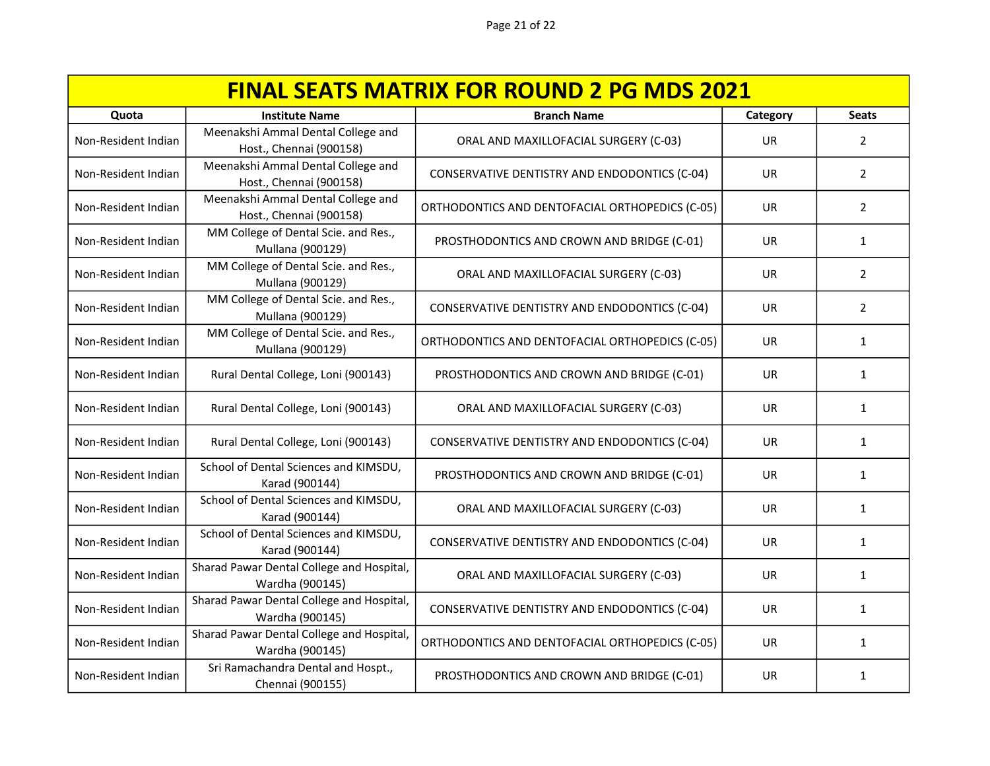| <b>FINAL SEATS MATRIX FOR ROUND 2 PG MDS 2021</b> |                                                               |                                                 |           |                |
|---------------------------------------------------|---------------------------------------------------------------|-------------------------------------------------|-----------|----------------|
| Quota                                             | <b>Institute Name</b>                                         | <b>Branch Name</b>                              | Category  | <b>Seats</b>   |
| Non-Resident Indian                               | Meenakshi Ammal Dental College and<br>Host., Chennai (900158) | ORAL AND MAXILLOFACIAL SURGERY (C-03)           | <b>UR</b> | 2              |
| Non-Resident Indian                               | Meenakshi Ammal Dental College and<br>Host., Chennai (900158) | CONSERVATIVE DENTISTRY AND ENDODONTICS (C-04)   | <b>UR</b> | $\overline{2}$ |
| Non-Resident Indian                               | Meenakshi Ammal Dental College and<br>Host., Chennai (900158) | ORTHODONTICS AND DENTOFACIAL ORTHOPEDICS (C-05) | <b>UR</b> | 2              |
| Non-Resident Indian                               | MM College of Dental Scie. and Res.,<br>Mullana (900129)      | PROSTHODONTICS AND CROWN AND BRIDGE (C-01)      | <b>UR</b> | $\mathbf{1}$   |
| Non-Resident Indian                               | MM College of Dental Scie. and Res.,<br>Mullana (900129)      | ORAL AND MAXILLOFACIAL SURGERY (C-03)           | <b>UR</b> | $\overline{2}$ |
| Non-Resident Indian                               | MM College of Dental Scie. and Res.,<br>Mullana (900129)      | CONSERVATIVE DENTISTRY AND ENDODONTICS (C-04)   | UR        | $\overline{2}$ |
| Non-Resident Indian                               | MM College of Dental Scie. and Res.,<br>Mullana (900129)      | ORTHODONTICS AND DENTOFACIAL ORTHOPEDICS (C-05) | <b>UR</b> | $\mathbf{1}$   |
| Non-Resident Indian                               | Rural Dental College, Loni (900143)                           | PROSTHODONTICS AND CROWN AND BRIDGE (C-01)      | UR        | 1              |
| Non-Resident Indian                               | Rural Dental College, Loni (900143)                           | ORAL AND MAXILLOFACIAL SURGERY (C-03)           | <b>UR</b> | $\mathbf{1}$   |
| Non-Resident Indian                               | Rural Dental College, Loni (900143)                           | CONSERVATIVE DENTISTRY AND ENDODONTICS (C-04)   | <b>UR</b> | $\mathbf{1}$   |
| Non-Resident Indian                               | School of Dental Sciences and KIMSDU,<br>Karad (900144)       | PROSTHODONTICS AND CROWN AND BRIDGE (C-01)      | <b>UR</b> | $\mathbf{1}$   |
| Non-Resident Indian                               | School of Dental Sciences and KIMSDU,<br>Karad (900144)       | ORAL AND MAXILLOFACIAL SURGERY (C-03)           | UR        | $\mathbf{1}$   |
| Non-Resident Indian                               | School of Dental Sciences and KIMSDU,<br>Karad (900144)       | CONSERVATIVE DENTISTRY AND ENDODONTICS (C-04)   | UR        | 1              |
| Non-Resident Indian                               | Sharad Pawar Dental College and Hospital,<br>Wardha (900145)  | ORAL AND MAXILLOFACIAL SURGERY (C-03)           | UR        | 1              |
| Non-Resident Indian                               | Sharad Pawar Dental College and Hospital,<br>Wardha (900145)  | CONSERVATIVE DENTISTRY AND ENDODONTICS (C-04)   | <b>UR</b> | 1              |
| Non-Resident Indian                               | Sharad Pawar Dental College and Hospital,<br>Wardha (900145)  | ORTHODONTICS AND DENTOFACIAL ORTHOPEDICS (C-05) | <b>UR</b> | 1              |
| Non-Resident Indian                               | Sri Ramachandra Dental and Hospt.,<br>Chennai (900155)        | PROSTHODONTICS AND CROWN AND BRIDGE (C-01)      | UR        | 1              |